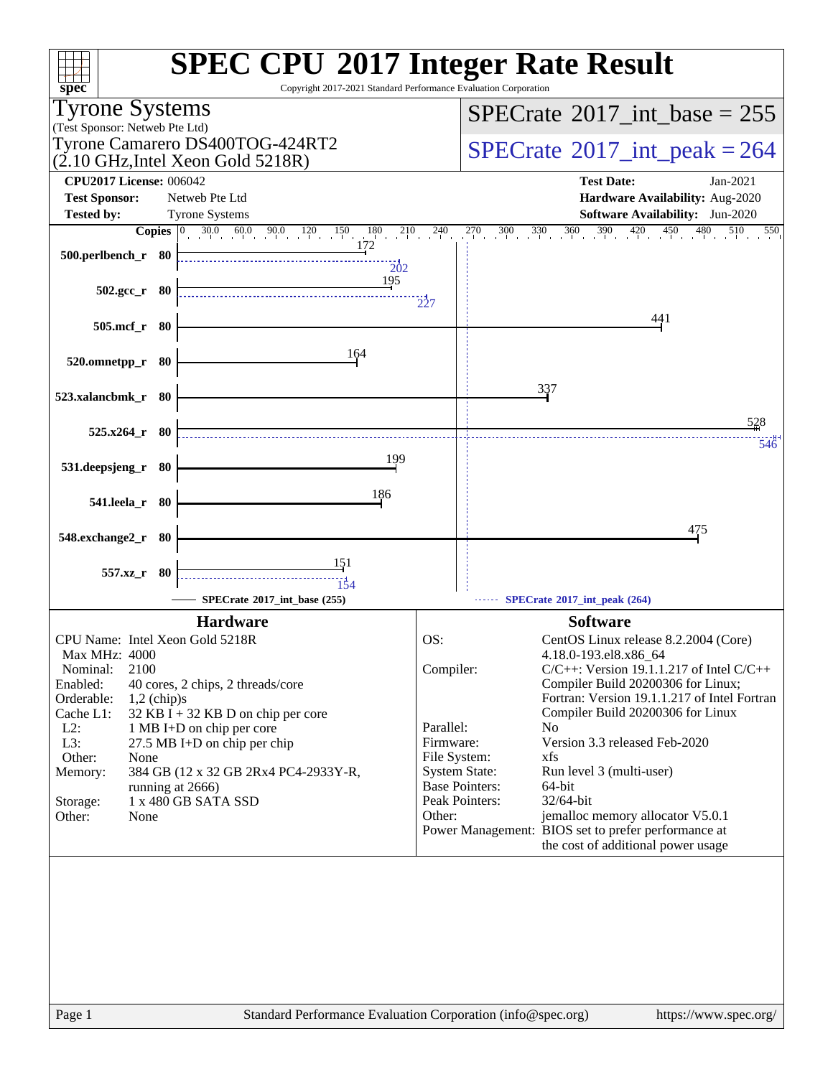| $spec^*$                                                                                                                 | <b>SPEC CPU®2017 Integer Rate Result</b><br>Copyright 2017-2021 Standard Performance Evaluation Corporation     |
|--------------------------------------------------------------------------------------------------------------------------|-----------------------------------------------------------------------------------------------------------------|
| <b>Tyrone Systems</b>                                                                                                    | $SPECTate$ <sup>®</sup> 2017_int_base = 255                                                                     |
| (Test Sponsor: Netweb Pte Ltd)                                                                                           |                                                                                                                 |
| Tyrone Camarero DS400TOG-424RT2<br>$(2.10 \text{ GHz}, \text{Intel Xeon Gold } 5218\text{R})$                            | $SPECrate^{\circ}2017\_int\_peak = 264$                                                                         |
| <b>CPU2017 License: 006042</b>                                                                                           | <b>Test Date:</b><br>$Jan-2021$                                                                                 |
| <b>Test Sponsor:</b><br>Netweb Pte Ltd                                                                                   | Hardware Availability: Aug-2020                                                                                 |
| <b>Tested by:</b><br><b>Tyrone Systems</b><br><b>Copies</b> $\begin{bmatrix} 0 & 30.0 & 60.0 & 90.0 & 120 \end{bmatrix}$ | <b>Software Availability:</b> Jun-2020<br>$270$ $300$ $330$ $360$ $390$ $420$ $450$<br>240<br>480<br>510<br>550 |
| $\overline{150}$<br>$\frac{180}{172}$ $\frac{210}{172}$                                                                  |                                                                                                                 |
| 500.perlbench_r 80<br>202                                                                                                |                                                                                                                 |
| 195<br>$502.\text{gcc r}$ 80                                                                                             |                                                                                                                 |
|                                                                                                                          | $\frac{1}{2}27$                                                                                                 |
| 505.mcf_r 80                                                                                                             | 441                                                                                                             |
| 164                                                                                                                      |                                                                                                                 |
| 520.omnetpp_r 80                                                                                                         |                                                                                                                 |
|                                                                                                                          | 337                                                                                                             |
| 523.xalancbmk_r 80                                                                                                       |                                                                                                                 |
| $525.x264$ r 80                                                                                                          | 528                                                                                                             |
| 199                                                                                                                      | 546                                                                                                             |
| 531.deepsjeng_r 80                                                                                                       |                                                                                                                 |
| 186<br>541.leela_r 80                                                                                                    |                                                                                                                 |
|                                                                                                                          | 475                                                                                                             |
| 548.exchange2_r 80                                                                                                       |                                                                                                                 |
| <u>151</u><br>557.xz_r 80                                                                                                |                                                                                                                 |
| 154                                                                                                                      |                                                                                                                 |
| SPECrate®2017_int_base (255)                                                                                             | SPECrate®2017_int_peak (264)                                                                                    |
| <b>Hardware</b>                                                                                                          | <b>Software</b>                                                                                                 |
| CPU Name: Intel Xeon Gold 5218R<br>Max MHz: 4000                                                                         | OS:<br>CentOS Linux release 8.2.2004 (Core)<br>4.18.0-193.el8.x86_64                                            |
| 2100<br>Nominal:                                                                                                         | Compiler:<br>$C/C++$ : Version 19.1.1.217 of Intel $C/C++$                                                      |
| Enabled:<br>40 cores, 2 chips, 2 threads/core                                                                            | Compiler Build 20200306 for Linux;                                                                              |
| Orderable:<br>$1,2$ (chip)s<br>$32$ KB I + 32 KB D on chip per core<br>Cache L1:                                         | Fortran: Version 19.1.1.217 of Intel Fortran<br>Compiler Build 20200306 for Linux                               |
| $L2$ :<br>1 MB I+D on chip per core                                                                                      | Parallel:<br>No                                                                                                 |
| L3:<br>27.5 MB I+D on chip per chip                                                                                      | Version 3.3 released Feb-2020<br>Firmware:                                                                      |
| Other:<br>None<br>Memory:<br>384 GB (12 x 32 GB 2Rx4 PC4-2933Y-R,                                                        | File System:<br>xfs<br><b>System State:</b><br>Run level 3 (multi-user)                                         |
| running at 2666)                                                                                                         | <b>Base Pointers:</b><br>64-bit                                                                                 |
| 1 x 480 GB SATA SSD<br>Storage:                                                                                          | Peak Pointers:<br>$32/64$ -bit<br>Other:                                                                        |
| Other:<br>None                                                                                                           | jemalloc memory allocator V5.0.1<br>Power Management: BIOS set to prefer performance at                         |
|                                                                                                                          | the cost of additional power usage                                                                              |
|                                                                                                                          |                                                                                                                 |
| Page 1                                                                                                                   | Standard Performance Evaluation Corporation (info@spec.org)<br>https://www.spec.org/                            |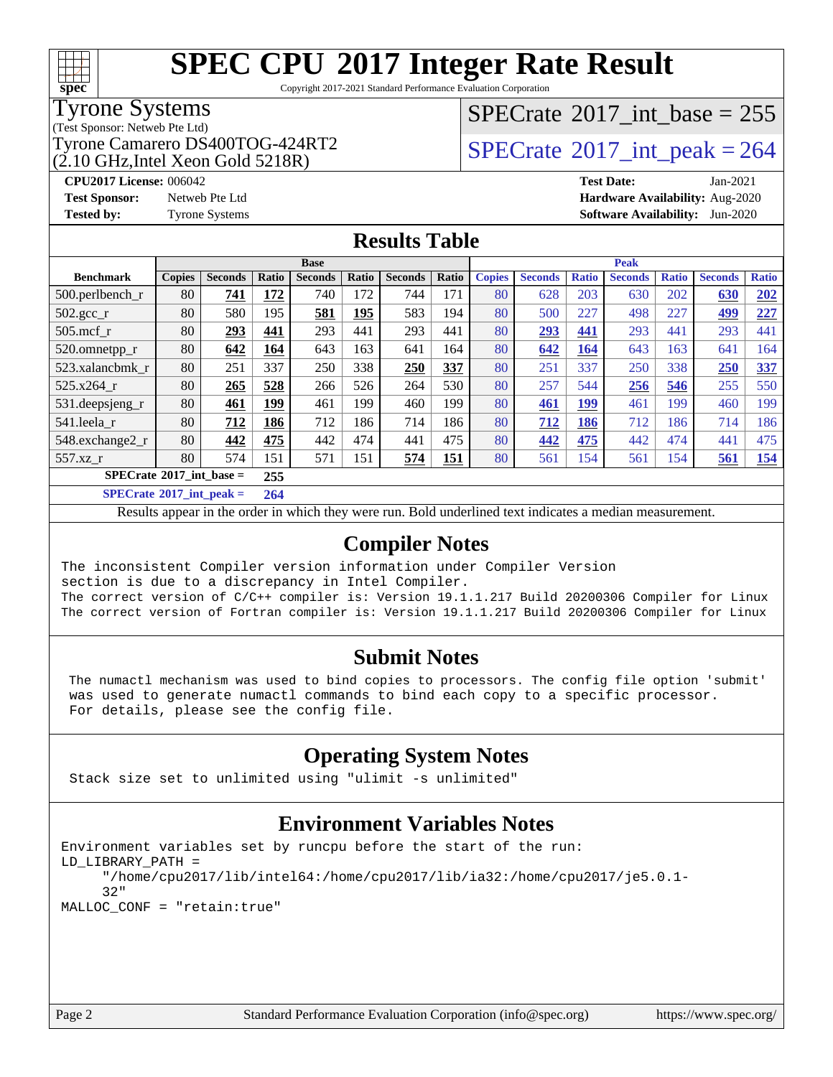

Copyright 2017-2021 Standard Performance Evaluation Corporation

### Tyrone Systems

(Test Sponsor: Netweb Pte Ltd)

(2.10 GHz,Intel Xeon Gold 5218R)

## $SPECrate$ <sup>®</sup>[2017\\_int\\_base =](http://www.spec.org/auto/cpu2017/Docs/result-fields.html#SPECrate2017intbase) 255

### Tyrone Camarero DS400TOG-424RT2  $\vert$  [SPECrate](http://www.spec.org/auto/cpu2017/Docs/result-fields.html#SPECrate2017intpeak) [2017\\_int\\_peak = 2](http://www.spec.org/auto/cpu2017/Docs/result-fields.html#SPECrate2017intpeak)64

**[CPU2017 License:](http://www.spec.org/auto/cpu2017/Docs/result-fields.html#CPU2017License)** 006042 **[Test Date:](http://www.spec.org/auto/cpu2017/Docs/result-fields.html#TestDate)** Jan-2021 **[Test Sponsor:](http://www.spec.org/auto/cpu2017/Docs/result-fields.html#TestSponsor)** Netweb Pte Ltd **[Hardware Availability:](http://www.spec.org/auto/cpu2017/Docs/result-fields.html#HardwareAvailability)** Aug-2020 **[Tested by:](http://www.spec.org/auto/cpu2017/Docs/result-fields.html#Testedby)** Tyrone Systems **[Software Availability:](http://www.spec.org/auto/cpu2017/Docs/result-fields.html#SoftwareAvailability)** Jun-2020

### **[Results Table](http://www.spec.org/auto/cpu2017/Docs/result-fields.html#ResultsTable)**

|                                   |               |                |       | <b>Base</b>    |       |                |       |               |                |              | <b>Peak</b>    |              |                |              |
|-----------------------------------|---------------|----------------|-------|----------------|-------|----------------|-------|---------------|----------------|--------------|----------------|--------------|----------------|--------------|
| <b>Benchmark</b>                  | <b>Copies</b> | <b>Seconds</b> | Ratio | <b>Seconds</b> | Ratio | <b>Seconds</b> | Ratio | <b>Copies</b> | <b>Seconds</b> | <b>Ratio</b> | <b>Seconds</b> | <b>Ratio</b> | <b>Seconds</b> | <b>Ratio</b> |
| 500.perlbench_r                   | 80            | 741            | 172   | 740            | 172   | 744            | 171   | 80            | 628            | 203          | 630            | 202          | 630            | 202          |
| $502.\text{gcc\_r}$               | 80            | 580            | 195   | 581            | 195   | 583            | 194   | 80            | 500            | 227          | 498            | 227          | 499            | 227          |
| $505$ .mcf r                      | 80            | 293            | 441   | 293            | 441   | 293            | 441   | 80            | 293            | 441          | 293            | 441          | 293            | 441          |
| 520.omnetpp_r                     | 80            | 642            | 164   | 643            | 163   | 641            | 164   | 80            | 642            | <b>164</b>   | 643            | 163          | 641            | 164          |
| 523.xalancbmk_r                   | 80            | 251            | 337   | 250            | 338   | 250            | 337   | 80            | 251            | 337          | 250            | 338          | 250            | 337          |
| 525.x264 r                        | 80            | 265            | 528   | 266            | 526   | 264            | 530   | 80            | 257            | 544          | 256            | 546          | 255            | 550          |
| 531.deepsjeng_r                   | 80            | 461            | 199   | 461            | 199   | 460            | 199   | 80            | 461            | 199          | 461            | 199          | 460            | 199          |
| 541.leela r                       | 80            | 712            | 186   | 712            | 186   | 714            | 186   | 80            | 712            | 186          | 712            | 186          | 714            | 186          |
| 548.exchange2_r                   | 80            | 442            | 475   | 442            | 474   | 441            | 475   | 80            | 442            | 475          | 442            | 474          | 441            | 475          |
| 557.xz r                          | 80            | 574            | 151   | 571            | 151   | 574            | 151   | 80            | 561            | 154          | 561            | 154          | 561            | <u>154</u>   |
| $SPECrate^{\circ}2017$ int base = |               |                | 255   |                |       |                |       |               |                |              |                |              |                |              |
|                                   |               |                | - - - |                |       |                |       |               |                |              |                |              |                |              |

**[SPECrate](http://www.spec.org/auto/cpu2017/Docs/result-fields.html#SPECrate2017intpeak)[2017\\_int\\_peak =](http://www.spec.org/auto/cpu2017/Docs/result-fields.html#SPECrate2017intpeak) 264**

Results appear in the [order in which they were run](http://www.spec.org/auto/cpu2017/Docs/result-fields.html#RunOrder). Bold underlined text [indicates a median measurement](http://www.spec.org/auto/cpu2017/Docs/result-fields.html#Median).

### **[Compiler Notes](http://www.spec.org/auto/cpu2017/Docs/result-fields.html#CompilerNotes)**

The inconsistent Compiler version information under Compiler Version section is due to a discrepancy in Intel Compiler. The correct version of C/C++ compiler is: Version 19.1.1.217 Build 20200306 Compiler for Linux The correct version of Fortran compiler is: Version 19.1.1.217 Build 20200306 Compiler for Linux

### **[Submit Notes](http://www.spec.org/auto/cpu2017/Docs/result-fields.html#SubmitNotes)**

 The numactl mechanism was used to bind copies to processors. The config file option 'submit' was used to generate numactl commands to bind each copy to a specific processor. For details, please see the config file.

### **[Operating System Notes](http://www.spec.org/auto/cpu2017/Docs/result-fields.html#OperatingSystemNotes)**

Stack size set to unlimited using "ulimit -s unlimited"

### **[Environment Variables Notes](http://www.spec.org/auto/cpu2017/Docs/result-fields.html#EnvironmentVariablesNotes)**

```
Environment variables set by runcpu before the start of the run:
LD_LIBRARY_PATH =
      "/home/cpu2017/lib/intel64:/home/cpu2017/lib/ia32:/home/cpu2017/je5.0.1-
      32"
MALLOC_CONF = "retain:true"
```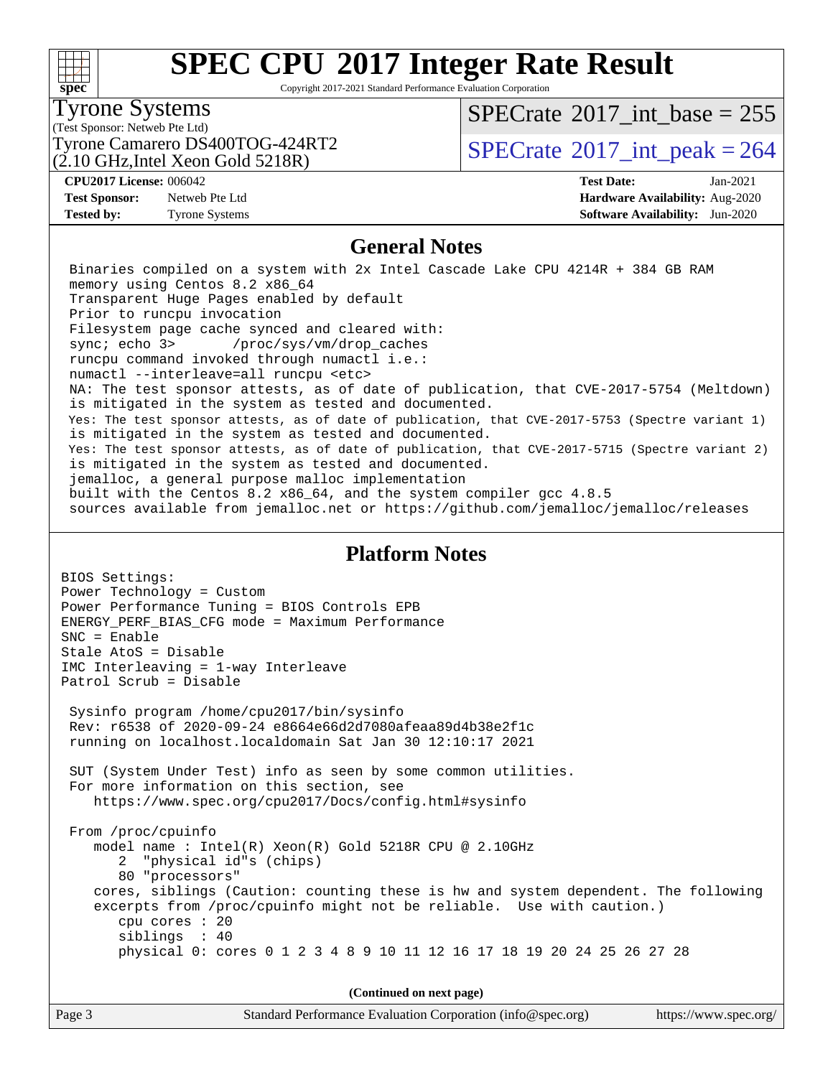#### $+\!\!+\!\!$ **[spec](http://www.spec.org/)**

# **[SPEC CPU](http://www.spec.org/auto/cpu2017/Docs/result-fields.html#SPECCPU2017IntegerRateResult)[2017 Integer Rate Result](http://www.spec.org/auto/cpu2017/Docs/result-fields.html#SPECCPU2017IntegerRateResult)**

Copyright 2017-2021 Standard Performance Evaluation Corporation

### Tyrone Systems

(Test Sponsor: Netweb Pte Ltd)

(2.10 GHz,Intel Xeon Gold 5218R)

 $SPECTate$ <sup>®</sup>[2017\\_int\\_base =](http://www.spec.org/auto/cpu2017/Docs/result-fields.html#SPECrate2017intbase) 255

Tyrone Camarero DS400TOG-424RT2  $\vert$  [SPECrate](http://www.spec.org/auto/cpu2017/Docs/result-fields.html#SPECrate2017intpeak)  $2017$ \_int\_peak = 264

**[Test Sponsor:](http://www.spec.org/auto/cpu2017/Docs/result-fields.html#TestSponsor)** Netweb Pte Ltd **[Hardware Availability:](http://www.spec.org/auto/cpu2017/Docs/result-fields.html#HardwareAvailability)** Aug-2020

**[CPU2017 License:](http://www.spec.org/auto/cpu2017/Docs/result-fields.html#CPU2017License)** 006042 **[Test Date:](http://www.spec.org/auto/cpu2017/Docs/result-fields.html#TestDate)** Jan-2021 **[Tested by:](http://www.spec.org/auto/cpu2017/Docs/result-fields.html#Testedby)** Tyrone Systems **[Software Availability:](http://www.spec.org/auto/cpu2017/Docs/result-fields.html#SoftwareAvailability)** Jun-2020

### **[General Notes](http://www.spec.org/auto/cpu2017/Docs/result-fields.html#GeneralNotes)**

 Binaries compiled on a system with 2x Intel Cascade Lake CPU 4214R + 384 GB RAM memory using Centos 8.2 x86\_64 Transparent Huge Pages enabled by default Prior to runcpu invocation Filesystem page cache synced and cleared with: sync; echo 3> /proc/sys/vm/drop\_caches runcpu command invoked through numactl i.e.: numactl --interleave=all runcpu <etc> NA: The test sponsor attests, as of date of publication, that CVE-2017-5754 (Meltdown) is mitigated in the system as tested and documented. Yes: The test sponsor attests, as of date of publication, that CVE-2017-5753 (Spectre variant 1) is mitigated in the system as tested and documented. Yes: The test sponsor attests, as of date of publication, that CVE-2017-5715 (Spectre variant 2) is mitigated in the system as tested and documented. jemalloc, a general purpose malloc implementation built with the Centos 8.2 x86\_64, and the system compiler gcc 4.8.5 sources available from jemalloc.net or<https://github.com/jemalloc/jemalloc/releases>

#### **[Platform Notes](http://www.spec.org/auto/cpu2017/Docs/result-fields.html#PlatformNotes)**

BIOS Settings: Power Technology = Custom Power Performance Tuning = BIOS Controls EPB ENERGY\_PERF\_BIAS\_CFG mode = Maximum Performance SNC = Enable Stale AtoS = Disable IMC Interleaving = 1-way Interleave Patrol Scrub = Disable Sysinfo program /home/cpu2017/bin/sysinfo Rev: r6538 of 2020-09-24 e8664e66d2d7080afeaa89d4b38e2f1c running on localhost.localdomain Sat Jan 30 12:10:17 2021 SUT (System Under Test) info as seen by some common utilities. For more information on this section, see <https://www.spec.org/cpu2017/Docs/config.html#sysinfo> From /proc/cpuinfo model name : Intel(R) Xeon(R) Gold 5218R CPU @ 2.10GHz 2 "physical id"s (chips) 80 "processors" cores, siblings (Caution: counting these is hw and system dependent. The following excerpts from /proc/cpuinfo might not be reliable. Use with caution.) cpu cores : 20 siblings : 40 physical 0: cores 0 1 2 3 4 8 9 10 11 12 16 17 18 19 20 24 25 26 27 28

**(Continued on next page)**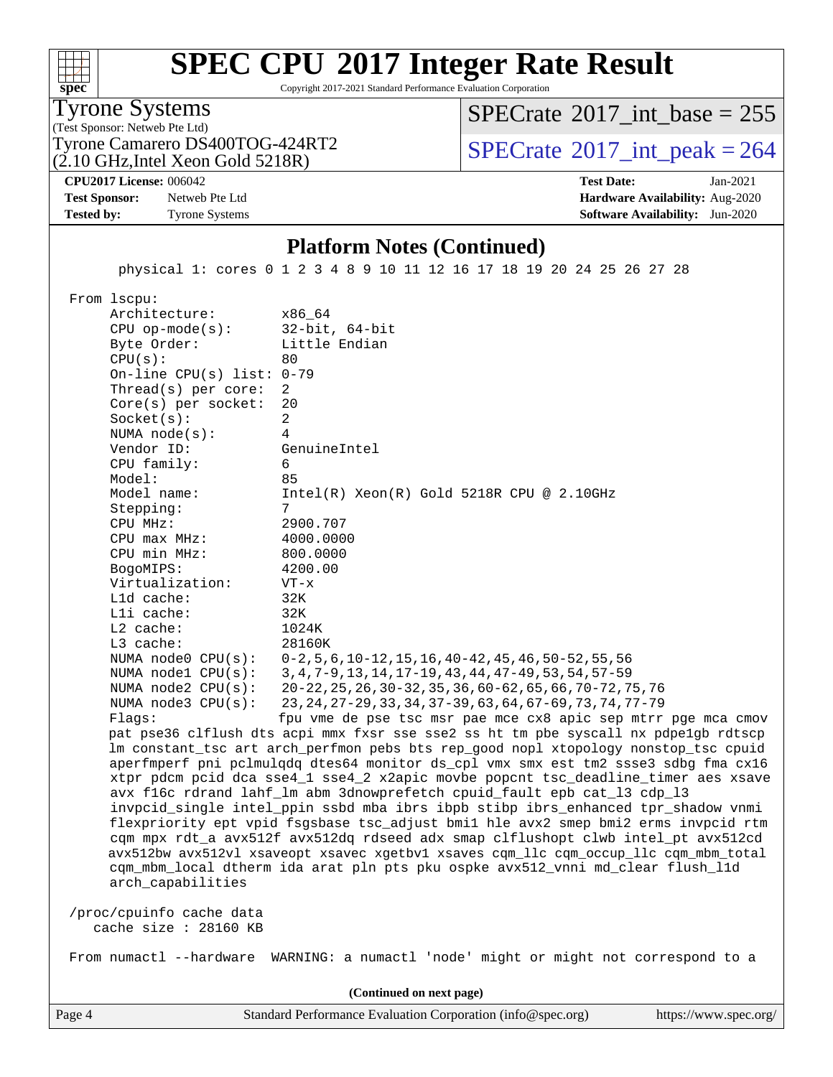#### $+\ +$ **[spec](http://www.spec.org/)**

# **[SPEC CPU](http://www.spec.org/auto/cpu2017/Docs/result-fields.html#SPECCPU2017IntegerRateResult)[2017 Integer Rate Result](http://www.spec.org/auto/cpu2017/Docs/result-fields.html#SPECCPU2017IntegerRateResult)**

Copyright 2017-2021 Standard Performance Evaluation Corporation

(Test Sponsor: Netweb Pte Ltd) Tyrone Systems

(2.10 GHz,Intel Xeon Gold 5218R) Tyrone Camarero DS400TOG-424RT2  $\vert$  [SPECrate](http://www.spec.org/auto/cpu2017/Docs/result-fields.html#SPECrate2017intpeak)  $2017$ \_int\_peak = 264

 $SPECTate$ <sup>®</sup>[2017\\_int\\_base =](http://www.spec.org/auto/cpu2017/Docs/result-fields.html#SPECrate2017intbase) 255

**[CPU2017 License:](http://www.spec.org/auto/cpu2017/Docs/result-fields.html#CPU2017License)** 006042 **[Test Date:](http://www.spec.org/auto/cpu2017/Docs/result-fields.html#TestDate)** Jan-2021

**[Test Sponsor:](http://www.spec.org/auto/cpu2017/Docs/result-fields.html#TestSponsor)** Netweb Pte Ltd **[Hardware Availability:](http://www.spec.org/auto/cpu2017/Docs/result-fields.html#HardwareAvailability)** Aug-2020 **[Tested by:](http://www.spec.org/auto/cpu2017/Docs/result-fields.html#Testedby)** Tyrone Systems **[Software Availability:](http://www.spec.org/auto/cpu2017/Docs/result-fields.html#SoftwareAvailability)** Jun-2020

### **[Platform Notes \(Continued\)](http://www.spec.org/auto/cpu2017/Docs/result-fields.html#PlatformNotes)**

physical 1: cores 0 1 2 3 4 8 9 10 11 12 16 17 18 19 20 24 25 26 27 28

From lscpu:

Architecture: x86\_64<br>CPU op-mode(s): 32-bit, 64-bit CPU op-mode $(s):$ Byte Order: Little Endian  $CPU(s):$  80 On-line CPU(s) list: 0-79 Thread(s) per core: 2 Core(s) per socket: 20 Socket(s): 2 NUMA node(s): 4 Vendor ID: GenuineIntel CPU family: 6 Model: 85 Model name: Intel(R) Xeon(R) Gold 5218R CPU @ 2.10GHz Stepping: CPU MHz: 2900.707 CPU max MHz: 4000.0000 CPU min MHz: 800.0000 BogoMIPS: 4200.00 Virtualization: VT-x L1d cache: 32K L1i cache: 32K L2 cache: 1024K L3 cache: 28160K NUMA node0 CPU(s): 0-2,5,6,10-12,15,16,40-42,45,46,50-52,55,56 NUMA node1 CPU(s): 3,4,7-9,13,14,17-19,43,44,47-49,53,54,57-59 NUMA node2 CPU(s): 20-22,25,26,30-32,35,36,60-62,65,66,70-72,75,76 NUMA node3 CPU(s): 23,24,27-29,33,34,37-39,63,64,67-69,73,74,77-79 Flags: fpu vme de pse tsc msr pae mce cx8 apic sep mtrr pge mca cmov pat pse36 clflush dts acpi mmx fxsr sse sse2 ss ht tm pbe syscall nx pdpe1gb rdtscp lm constant\_tsc art arch\_perfmon pebs bts rep\_good nopl xtopology nonstop\_tsc cpuid aperfmperf pni pclmulqdq dtes64 monitor ds\_cpl vmx smx est tm2 ssse3 sdbg fma cx16 xtpr pdcm pcid dca sse4\_1 sse4\_2 x2apic movbe popcnt tsc\_deadline\_timer aes xsave avx f16c rdrand lahf\_lm abm 3dnowprefetch cpuid\_fault epb cat\_l3 cdp\_l3 invpcid\_single intel\_ppin ssbd mba ibrs ibpb stibp ibrs\_enhanced tpr\_shadow vnmi flexpriority ept vpid fsgsbase tsc\_adjust bmi1 hle avx2 smep bmi2 erms invpcid rtm cqm mpx rdt\_a avx512f avx512dq rdseed adx smap clflushopt clwb intel\_pt avx512cd avx512bw avx512vl xsaveopt xsavec xgetbv1 xsaves cqm\_llc cqm\_occup\_llc cqm\_mbm\_total cqm\_mbm\_local dtherm ida arat pln pts pku ospke avx512\_vnni md\_clear flush\_l1d arch\_capabilities /proc/cpuinfo cache data cache size : 28160 KB

From numactl --hardware WARNING: a numactl 'node' might or might not correspond to a

**(Continued on next page)**

Page 4 Standard Performance Evaluation Corporation [\(info@spec.org\)](mailto:info@spec.org) <https://www.spec.org/>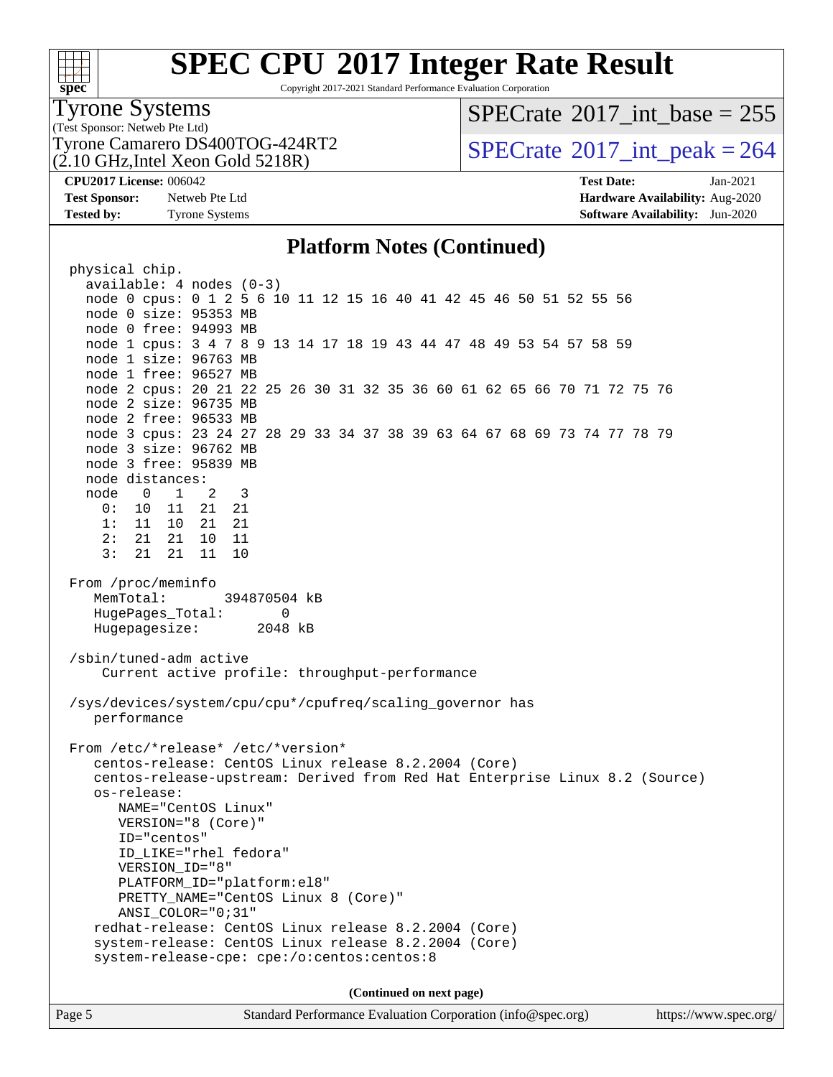#### $+\ +$ **[spec](http://www.spec.org/)**

# **[SPEC CPU](http://www.spec.org/auto/cpu2017/Docs/result-fields.html#SPECCPU2017IntegerRateResult)[2017 Integer Rate Result](http://www.spec.org/auto/cpu2017/Docs/result-fields.html#SPECCPU2017IntegerRateResult)**

Copyright 2017-2021 Standard Performance Evaluation Corporation

#### Tyrone Systems

(Test Sponsor: Netweb Pte Ltd) (2.10 GHz,Intel Xeon Gold 5218R)

### $SPECTate$ <sup>®</sup>[2017\\_int\\_base =](http://www.spec.org/auto/cpu2017/Docs/result-fields.html#SPECrate2017intbase) 255

Tyrone Camarero DS400TOG-424RT2  $\vert$  [SPECrate](http://www.spec.org/auto/cpu2017/Docs/result-fields.html#SPECrate2017intpeak)  $2017$ \_int\_peak = 264

**[Tested by:](http://www.spec.org/auto/cpu2017/Docs/result-fields.html#Testedby)** Tyrone Systems **[Software Availability:](http://www.spec.org/auto/cpu2017/Docs/result-fields.html#SoftwareAvailability)** Jun-2020

**[CPU2017 License:](http://www.spec.org/auto/cpu2017/Docs/result-fields.html#CPU2017License)** 006042 **[Test Date:](http://www.spec.org/auto/cpu2017/Docs/result-fields.html#TestDate)** Jan-2021 **[Test Sponsor:](http://www.spec.org/auto/cpu2017/Docs/result-fields.html#TestSponsor)** Netweb Pte Ltd **[Hardware Availability:](http://www.spec.org/auto/cpu2017/Docs/result-fields.html#HardwareAvailability)** Aug-2020

### **[Platform Notes \(Continued\)](http://www.spec.org/auto/cpu2017/Docs/result-fields.html#PlatformNotes)**

 physical chip. available: 4 nodes (0-3) node 0 cpus: 0 1 2 5 6 10 11 12 15 16 40 41 42 45 46 50 51 52 55 56 node 0 size: 95353 MB node 0 free: 94993 MB node 1 cpus: 3 4 7 8 9 13 14 17 18 19 43 44 47 48 49 53 54 57 58 59 node 1 size: 96763 MB node 1 free: 96527 MB node 2 cpus: 20 21 22 25 26 30 31 32 35 36 60 61 62 65 66 70 71 72 75 76 node 2 size: 96735 MB node 2 free: 96533 MB node 3 cpus: 23 24 27 28 29 33 34 37 38 39 63 64 67 68 69 73 74 77 78 79 node 3 size: 96762 MB node 3 free: 95839 MB node distances: node 0 1 2 3 0: 10 11 21 21 1: 11 10 21 21 2: 21 21 10 11 3: 21 21 11 10 From /proc/meminfo MemTotal: 394870504 kB HugePages Total: 0 Hugepagesize: 2048 kB /sbin/tuned-adm active Current active profile: throughput-performance /sys/devices/system/cpu/cpu\*/cpufreq/scaling\_governor has performance From /etc/\*release\* /etc/\*version\* centos-release: CentOS Linux release 8.2.2004 (Core) centos-release-upstream: Derived from Red Hat Enterprise Linux 8.2 (Source) os-release: NAME="CentOS Linux" VERSION="8 (Core)" ID="centos" ID\_LIKE="rhel fedora" VERSION\_ID="8" PLATFORM\_ID="platform:el8" PRETTY\_NAME="CentOS Linux 8 (Core)" ANSI\_COLOR="0;31" redhat-release: CentOS Linux release 8.2.2004 (Core) system-release: CentOS Linux release 8.2.2004 (Core) system-release-cpe: cpe:/o:centos:centos:8 **(Continued on next page)**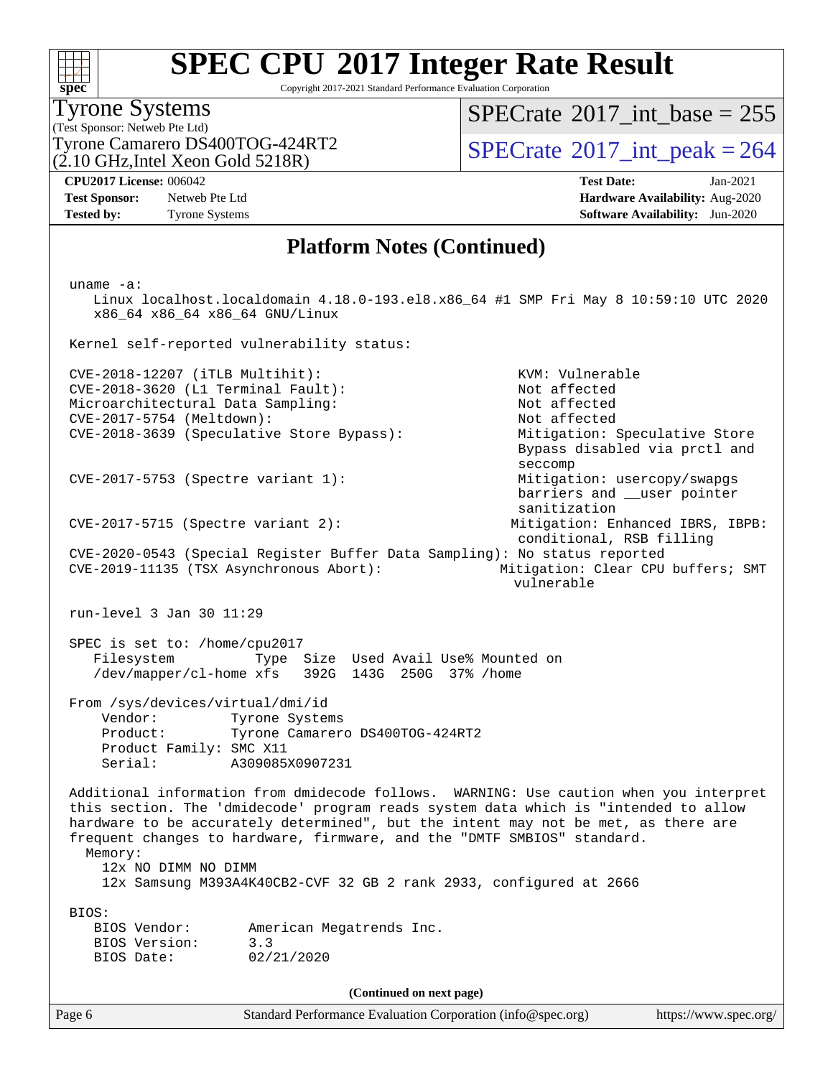# **[spec](http://www.spec.org/)**

# **[SPEC CPU](http://www.spec.org/auto/cpu2017/Docs/result-fields.html#SPECCPU2017IntegerRateResult)[2017 Integer Rate Result](http://www.spec.org/auto/cpu2017/Docs/result-fields.html#SPECCPU2017IntegerRateResult)**

Copyright 2017-2021 Standard Performance Evaluation Corporation

(Test Sponsor: Netweb Pte Ltd) Tyrone Systems  $(2.10 \text{ GHz}, \text{Intel} \text{ Xeon} \text{ Gold } 5218\text{R})$ 

 $SPECrate$ <sup>®</sup>[2017\\_int\\_base =](http://www.spec.org/auto/cpu2017/Docs/result-fields.html#SPECrate2017intbase) 255

Tyrone Camarero DS400TOG-424RT2  $\vert$  [SPECrate](http://www.spec.org/auto/cpu2017/Docs/result-fields.html#SPECrate2017intpeak)  $^{\circ}2017$  int peak = 264

**[Test Sponsor:](http://www.spec.org/auto/cpu2017/Docs/result-fields.html#TestSponsor)** Netweb Pte Ltd **[Hardware Availability:](http://www.spec.org/auto/cpu2017/Docs/result-fields.html#HardwareAvailability)** Aug-2020 **[Tested by:](http://www.spec.org/auto/cpu2017/Docs/result-fields.html#Testedby)** Tyrone Systems **[Software Availability:](http://www.spec.org/auto/cpu2017/Docs/result-fields.html#SoftwareAvailability)** Jun-2020

**[CPU2017 License:](http://www.spec.org/auto/cpu2017/Docs/result-fields.html#CPU2017License)** 006042 **[Test Date:](http://www.spec.org/auto/cpu2017/Docs/result-fields.html#TestDate)** Jan-2021

### **[Platform Notes \(Continued\)](http://www.spec.org/auto/cpu2017/Docs/result-fields.html#PlatformNotes)**

 uname -a: Linux localhost.localdomain 4.18.0-193.el8.x86\_64 #1 SMP Fri May 8 10:59:10 UTC 2020 x86\_64 x86\_64 x86\_64 GNU/Linux Kernel self-reported vulnerability status: CVE-2018-12207 (iTLB Multihit): KVM: Vulnerable CVE-2018-3620 (L1 Terminal Fault): Not affected<br>Microarchitectural Data Sampling: Not affected Microarchitectural Data Sampling: CVE-2017-5754 (Meltdown): Not affected CVE-2018-3639 (Speculative Store Bypass): Mitigation: Speculative Store Bypass disabled via prctl and seccomp CVE-2017-5753 (Spectre variant 1): Mitigation: usercopy/swapgs barriers and \_\_user pointer sanitization CVE-2017-5715 (Spectre variant 2): Mitigation: Enhanced IBRS, IBPB: conditional, RSB filling CVE-2020-0543 (Special Register Buffer Data Sampling): No status reported CVE-2019-11135 (TSX Asynchronous Abort): Mitigation: Clear CPU buffers; SMT vulnerable run-level 3 Jan 30 11:29 SPEC is set to: /home/cpu2017 Filesystem Type Size Used Avail Use% Mounted on /dev/mapper/cl-home xfs 392G 143G 250G 37% /home From /sys/devices/virtual/dmi/id Vendor: Tyrone Systems<br>Product: Tyrone Camarero Tyrone Camarero DS400TOG-424RT2 Product Family: SMC X11 Serial: A309085X0907231 Additional information from dmidecode follows. WARNING: Use caution when you interpret this section. The 'dmidecode' program reads system data which is "intended to allow hardware to be accurately determined", but the intent may not be met, as there are frequent changes to hardware, firmware, and the "DMTF SMBIOS" standard. Memory: 12x NO DIMM NO DIMM 12x Samsung M393A4K40CB2-CVF 32 GB 2 rank 2933, configured at 2666 BIOS: BIOS Vendor: American Megatrends Inc. BIOS Version: 3.3 BIOS Date: 02/21/2020 **(Continued on next page)**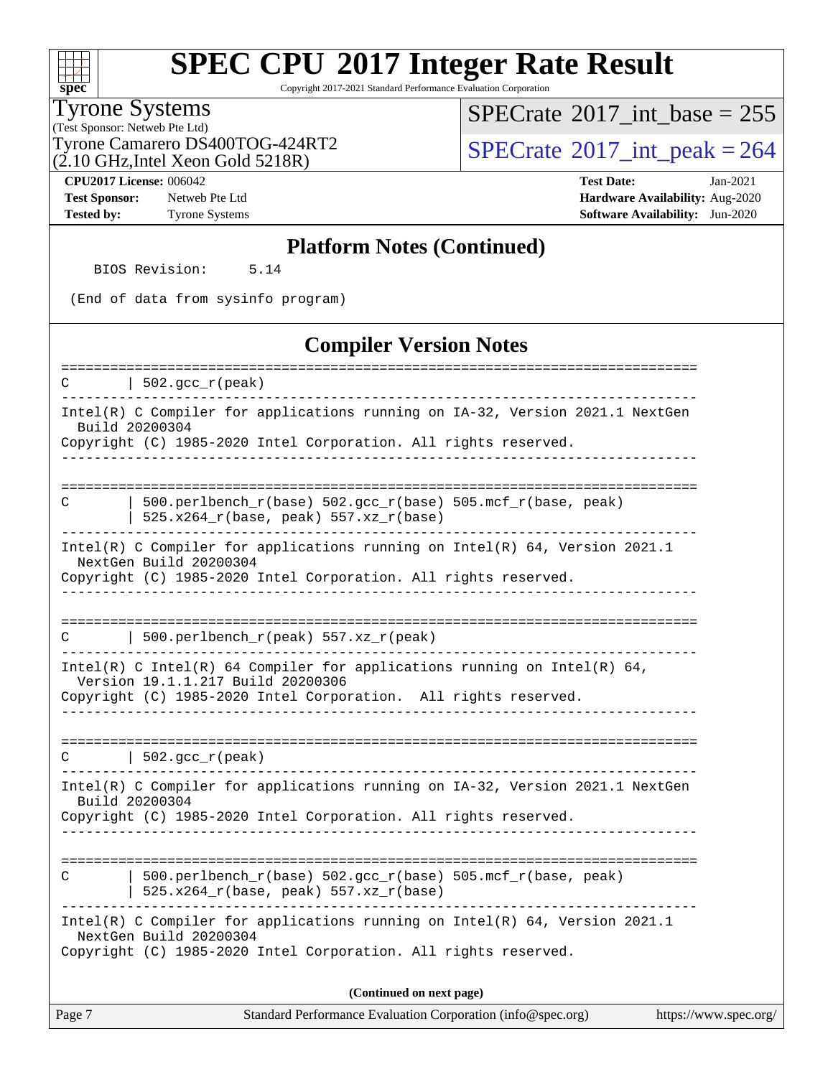#### **[spec](http://www.spec.org/)**

# **[SPEC CPU](http://www.spec.org/auto/cpu2017/Docs/result-fields.html#SPECCPU2017IntegerRateResult)[2017 Integer Rate Result](http://www.spec.org/auto/cpu2017/Docs/result-fields.html#SPECCPU2017IntegerRateResult)**

Copyright 2017-2021 Standard Performance Evaluation Corporation

### Tyrone Systems

(Test Sponsor: Netweb Pte Ltd) (2.10 GHz,Intel Xeon Gold 5218R)  $SPECrate$ <sup>®</sup>[2017\\_int\\_base =](http://www.spec.org/auto/cpu2017/Docs/result-fields.html#SPECrate2017intbase) 255

Tyrone Camarero DS400TOG-424RT2  $\vert$  [SPECrate](http://www.spec.org/auto/cpu2017/Docs/result-fields.html#SPECrate2017intpeak)  $2017$ \_int\_peak = 264

**[Test Sponsor:](http://www.spec.org/auto/cpu2017/Docs/result-fields.html#TestSponsor)** Netweb Pte Ltd **[Hardware Availability:](http://www.spec.org/auto/cpu2017/Docs/result-fields.html#HardwareAvailability)** Aug-2020

**[CPU2017 License:](http://www.spec.org/auto/cpu2017/Docs/result-fields.html#CPU2017License)** 006042 **[Test Date:](http://www.spec.org/auto/cpu2017/Docs/result-fields.html#TestDate)** Jan-2021 **[Tested by:](http://www.spec.org/auto/cpu2017/Docs/result-fields.html#Testedby)** Tyrone Systems **[Software Availability:](http://www.spec.org/auto/cpu2017/Docs/result-fields.html#SoftwareAvailability)** Jun-2020

#### **[Platform Notes \(Continued\)](http://www.spec.org/auto/cpu2017/Docs/result-fields.html#PlatformNotes)**

BIOS Revision: 5.14

(End of data from sysinfo program)

#### **[Compiler Version Notes](http://www.spec.org/auto/cpu2017/Docs/result-fields.html#CompilerVersionNotes)**

Page 7 Standard Performance Evaluation Corporation [\(info@spec.org\)](mailto:info@spec.org) <https://www.spec.org/> ==============================================================================  $C \qquad | \; 502.\text{gcc\_r}(\text{peak})$ ------------------------------------------------------------------------------ Intel(R) C Compiler for applications running on IA-32, Version 2021.1 NextGen Build 20200304 Copyright (C) 1985-2020 Intel Corporation. All rights reserved. ------------------------------------------------------------------------------ ============================================================================== C  $\vert$  500.perlbench r(base) 502.gcc r(base) 505.mcf r(base, peak) | 525.x264\_r(base, peak) 557.xz\_r(base) ------------------------------------------------------------------------------ Intel(R) C Compiler for applications running on Intel(R) 64, Version 2021.1 NextGen Build 20200304 Copyright (C) 1985-2020 Intel Corporation. All rights reserved. ------------------------------------------------------------------------------ ============================================================================== C | 500.perlbench  $r(\text{peak})$  557.xz  $r(\text{peak})$ ------------------------------------------------------------------------------ Intel(R) C Intel(R) 64 Compiler for applications running on Intel(R)  $64$ , Version 19.1.1.217 Build 20200306 Copyright (C) 1985-2020 Intel Corporation. All rights reserved. ------------------------------------------------------------------------------ ==============================================================================  $C \qquad | \quad 502.\text{gcc\_r}(\text{peak})$ ------------------------------------------------------------------------------ Intel(R) C Compiler for applications running on IA-32, Version 2021.1 NextGen Build 20200304 Copyright (C) 1985-2020 Intel Corporation. All rights reserved. ------------------------------------------------------------------------------ ============================================================================== C  $\vert$  500.perlbench\_r(base) 502.gcc\_r(base) 505.mcf\_r(base, peak) | 525.x264\_r(base, peak) 557.xz\_r(base) ------------------------------------------------------------------------------ Intel(R) C Compiler for applications running on Intel(R) 64, Version 2021.1 NextGen Build 20200304 Copyright (C) 1985-2020 Intel Corporation. All rights reserved. **(Continued on next page)**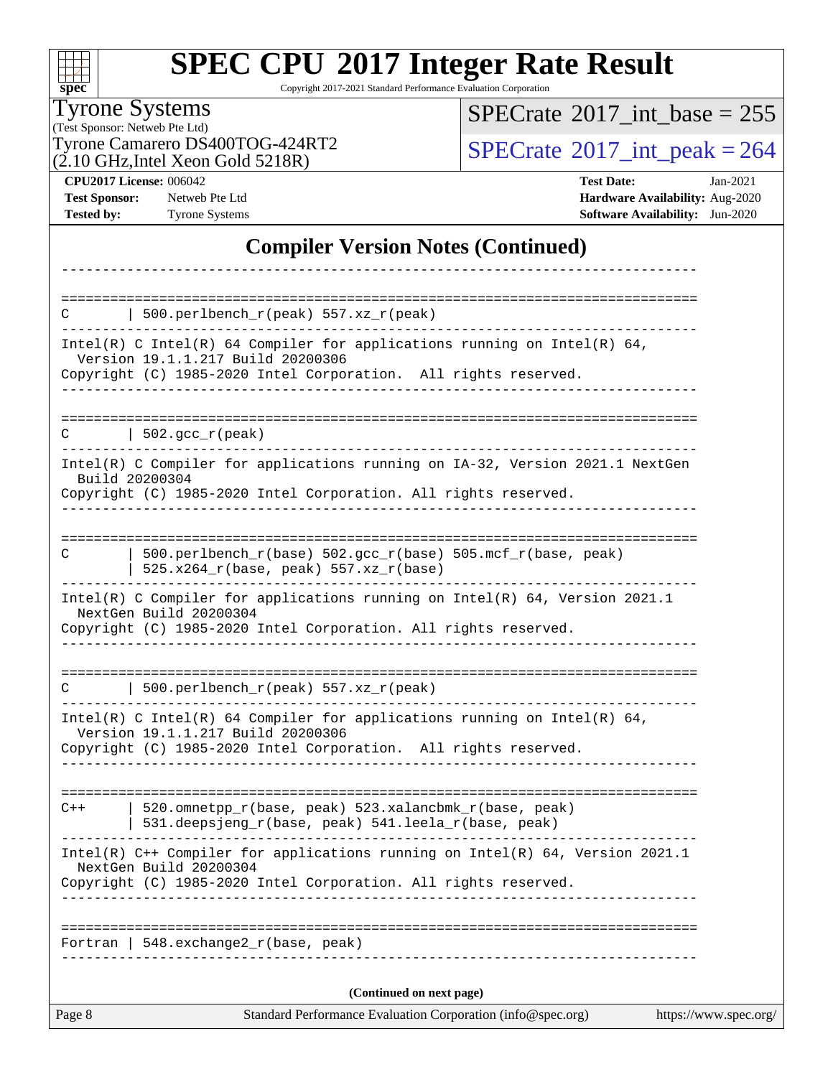| S<br>e<br>n<br>U |  |  |  |  |  |
|------------------|--|--|--|--|--|

Copyright 2017-2021 Standard Performance Evaluation Corporation

Tyrone Systems

(Test Sponsor: Netweb Pte Ltd)  $(2.10 \text{ GHz}, \text{Intel} \text{ Xeon} \text{ Gold } 5218 \text{R})$   $SPECrate$ <sup>®</sup>[2017\\_int\\_base =](http://www.spec.org/auto/cpu2017/Docs/result-fields.html#SPECrate2017intbase) 255

Tyrone Camarero DS400TOG-424RT2  $\begin{array}{|c|c|c|}\n\hline\n\text{O} & \text{SPECrate} \textcirc 2017\_int\_peak = 264 \\
\hline\n\end{array}$  $\begin{array}{|c|c|c|}\n\hline\n\text{O} & \text{SPECrate} \textcirc 2017\_int\_peak = 264 \\
\hline\n\end{array}$  $\begin{array}{|c|c|c|}\n\hline\n\text{O} & \text{SPECrate} \textcirc 2017\_int\_peak = 264 \\
\hline\n\end{array}$ 

**[CPU2017 License:](http://www.spec.org/auto/cpu2017/Docs/result-fields.html#CPU2017License)** 006042 **[Test Date:](http://www.spec.org/auto/cpu2017/Docs/result-fields.html#TestDate)** Jan-2021 **[Test Sponsor:](http://www.spec.org/auto/cpu2017/Docs/result-fields.html#TestSponsor)** Netweb Pte Ltd **[Hardware Availability:](http://www.spec.org/auto/cpu2017/Docs/result-fields.html#HardwareAvailability)** Aug-2020 **[Tested by:](http://www.spec.org/auto/cpu2017/Docs/result-fields.html#Testedby)** Tyrone Systems **[Software Availability:](http://www.spec.org/auto/cpu2017/Docs/result-fields.html#SoftwareAvailability)** Jun-2020

### **[Compiler Version Notes \(Continued\)](http://www.spec.org/auto/cpu2017/Docs/result-fields.html#CompilerVersionNotes)**

| Page 8 | Standard Performance Evaluation Corporation (info@spec.org)                                                                                                                      | https://www.spec.org/ |
|--------|----------------------------------------------------------------------------------------------------------------------------------------------------------------------------------|-----------------------|
|        | (Continued on next page)                                                                                                                                                         |                       |
|        | Fortran   548.exchange2_r(base, peak)                                                                                                                                            |                       |
|        |                                                                                                                                                                                  |                       |
|        | NextGen Build 20200304<br>Copyright (C) 1985-2020 Intel Corporation. All rights reserved.                                                                                        |                       |
|        | Intel(R) C++ Compiler for applications running on Intel(R) 64, Version 2021.1                                                                                                    |                       |
| $C++$  | 520.omnetpp_r(base, peak) 523.xalancbmk_r(base, peak)<br>531.deepsjeng_r(base, peak) 541.leela_r(base, peak)                                                                     |                       |
|        | Intel(R) C Intel(R) 64 Compiler for applications running on Intel(R) 64,<br>Version 19.1.1.217 Build 20200306<br>Copyright (C) 1985-2020 Intel Corporation. All rights reserved. |                       |
| C      | $500.perlbench_r(peak) 557. xz_r(peak)$                                                                                                                                          |                       |
|        | NextGen Build 20200304<br>Copyright (C) 1985-2020 Intel Corporation. All rights reserved.                                                                                        |                       |
|        | Intel(R) C Compiler for applications running on Intel(R) 64, Version 2021.1                                                                                                      |                       |
| C      | 500.perlbench_r(base) 502.gcc_r(base) 505.mcf_r(base, peak)<br>$525.x264_r(base, peak) 557.xz_r(base)$                                                                           |                       |
|        | Copyright (C) 1985-2020 Intel Corporation. All rights reserved.                                                                                                                  |                       |
|        | Intel(R) C Compiler for applications running on IA-32, Version 2021.1 NextGen<br>Build 20200304                                                                                  |                       |
|        | $C$   502.gcc_r(peak)                                                                                                                                                            |                       |
|        | Version 19.1.1.217 Build 20200306<br>Copyright (C) 1985-2020 Intel Corporation. All rights reserved.<br>__________________                                                       |                       |
|        | Intel(R) C Intel(R) 64 Compiler for applications running on Intel(R) 64,                                                                                                         |                       |
|        | 500.perlbench_r(peak) 557.xz_r(peak)                                                                                                                                             |                       |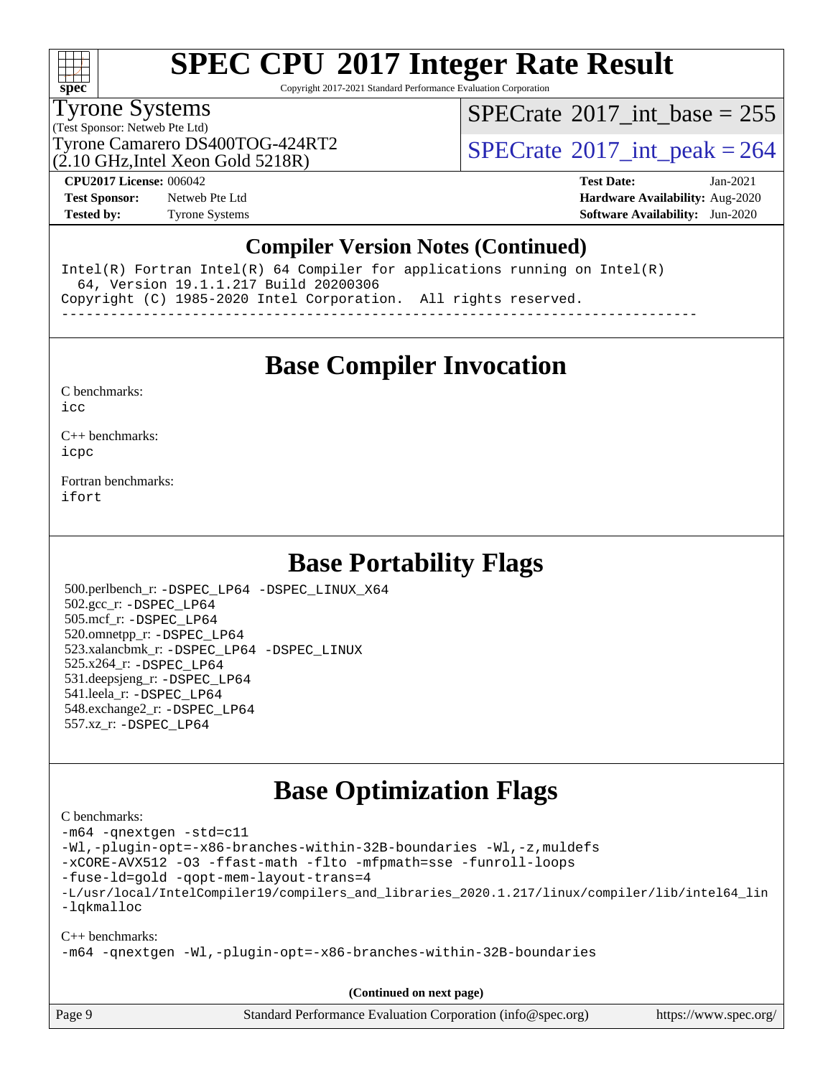

Copyright 2017-2021 Standard Performance Evaluation Corporation

### Tyrone Systems

(Test Sponsor: Netweb Pte Ltd)

 $(2.10 \text{ GHz}$ , Intel Xeon Gold 5218R)

 $SPECTate$ <sup>®</sup>[2017\\_int\\_base =](http://www.spec.org/auto/cpu2017/Docs/result-fields.html#SPECrate2017intbase) 255

Tyrone Camarero DS400TOG-424RT2  $\vert$  [SPECrate](http://www.spec.org/auto/cpu2017/Docs/result-fields.html#SPECrate2017intpeak)  $^{\circ}2017$  int peak = 264

**[Test Sponsor:](http://www.spec.org/auto/cpu2017/Docs/result-fields.html#TestSponsor)** Netweb Pte Ltd **[Hardware Availability:](http://www.spec.org/auto/cpu2017/Docs/result-fields.html#HardwareAvailability)** Aug-2020 **[Tested by:](http://www.spec.org/auto/cpu2017/Docs/result-fields.html#Testedby)** Tyrone Systems **[Software Availability:](http://www.spec.org/auto/cpu2017/Docs/result-fields.html#SoftwareAvailability)** Jun-2020

**[CPU2017 License:](http://www.spec.org/auto/cpu2017/Docs/result-fields.html#CPU2017License)** 006042 **[Test Date:](http://www.spec.org/auto/cpu2017/Docs/result-fields.html#TestDate)** Jan-2021

### **[Compiler Version Notes \(Continued\)](http://www.spec.org/auto/cpu2017/Docs/result-fields.html#CompilerVersionNotes)**

Intel(R) Fortran Intel(R) 64 Compiler for applications running on Intel(R) 64, Version 19.1.1.217 Build 20200306 Copyright (C) 1985-2020 Intel Corporation. All rights reserved. ------------------------------------------------------------------------------

**[Base Compiler Invocation](http://www.spec.org/auto/cpu2017/Docs/result-fields.html#BaseCompilerInvocation)**

[C benchmarks](http://www.spec.org/auto/cpu2017/Docs/result-fields.html#Cbenchmarks):

[icc](http://www.spec.org/cpu2017/results/res2021q1/cpu2017-20210222-24973.flags.html#user_CCbase_intel_icc_66fc1ee009f7361af1fbd72ca7dcefbb700085f36577c54f309893dd4ec40d12360134090235512931783d35fd58c0460139e722d5067c5574d8eaf2b3e37e92)

[C++ benchmarks:](http://www.spec.org/auto/cpu2017/Docs/result-fields.html#CXXbenchmarks) [icpc](http://www.spec.org/cpu2017/results/res2021q1/cpu2017-20210222-24973.flags.html#user_CXXbase_intel_icpc_c510b6838c7f56d33e37e94d029a35b4a7bccf4766a728ee175e80a419847e808290a9b78be685c44ab727ea267ec2f070ec5dc83b407c0218cded6866a35d07)

[Fortran benchmarks](http://www.spec.org/auto/cpu2017/Docs/result-fields.html#Fortranbenchmarks): [ifort](http://www.spec.org/cpu2017/results/res2021q1/cpu2017-20210222-24973.flags.html#user_FCbase_intel_ifort_8111460550e3ca792625aed983ce982f94888b8b503583aa7ba2b8303487b4d8a21a13e7191a45c5fd58ff318f48f9492884d4413fa793fd88dd292cad7027ca)

### **[Base Portability Flags](http://www.spec.org/auto/cpu2017/Docs/result-fields.html#BasePortabilityFlags)**

 500.perlbench\_r: [-DSPEC\\_LP64](http://www.spec.org/cpu2017/results/res2021q1/cpu2017-20210222-24973.flags.html#b500.perlbench_r_basePORTABILITY_DSPEC_LP64) [-DSPEC\\_LINUX\\_X64](http://www.spec.org/cpu2017/results/res2021q1/cpu2017-20210222-24973.flags.html#b500.perlbench_r_baseCPORTABILITY_DSPEC_LINUX_X64) 502.gcc\_r: [-DSPEC\\_LP64](http://www.spec.org/cpu2017/results/res2021q1/cpu2017-20210222-24973.flags.html#suite_basePORTABILITY502_gcc_r_DSPEC_LP64) 505.mcf\_r: [-DSPEC\\_LP64](http://www.spec.org/cpu2017/results/res2021q1/cpu2017-20210222-24973.flags.html#suite_basePORTABILITY505_mcf_r_DSPEC_LP64) 520.omnetpp\_r: [-DSPEC\\_LP64](http://www.spec.org/cpu2017/results/res2021q1/cpu2017-20210222-24973.flags.html#suite_basePORTABILITY520_omnetpp_r_DSPEC_LP64) 523.xalancbmk\_r: [-DSPEC\\_LP64](http://www.spec.org/cpu2017/results/res2021q1/cpu2017-20210222-24973.flags.html#suite_basePORTABILITY523_xalancbmk_r_DSPEC_LP64) [-DSPEC\\_LINUX](http://www.spec.org/cpu2017/results/res2021q1/cpu2017-20210222-24973.flags.html#b523.xalancbmk_r_baseCXXPORTABILITY_DSPEC_LINUX) 525.x264\_r: [-DSPEC\\_LP64](http://www.spec.org/cpu2017/results/res2021q1/cpu2017-20210222-24973.flags.html#suite_basePORTABILITY525_x264_r_DSPEC_LP64) 531.deepsjeng\_r: [-DSPEC\\_LP64](http://www.spec.org/cpu2017/results/res2021q1/cpu2017-20210222-24973.flags.html#suite_basePORTABILITY531_deepsjeng_r_DSPEC_LP64) 541.leela\_r: [-DSPEC\\_LP64](http://www.spec.org/cpu2017/results/res2021q1/cpu2017-20210222-24973.flags.html#suite_basePORTABILITY541_leela_r_DSPEC_LP64) 548.exchange2\_r: [-DSPEC\\_LP64](http://www.spec.org/cpu2017/results/res2021q1/cpu2017-20210222-24973.flags.html#suite_basePORTABILITY548_exchange2_r_DSPEC_LP64) 557.xz\_r: [-DSPEC\\_LP64](http://www.spec.org/cpu2017/results/res2021q1/cpu2017-20210222-24973.flags.html#suite_basePORTABILITY557_xz_r_DSPEC_LP64)

### **[Base Optimization Flags](http://www.spec.org/auto/cpu2017/Docs/result-fields.html#BaseOptimizationFlags)**

#### [C benchmarks](http://www.spec.org/auto/cpu2017/Docs/result-fields.html#Cbenchmarks):

[-m64](http://www.spec.org/cpu2017/results/res2021q1/cpu2017-20210222-24973.flags.html#user_CCbase_m64-icc) [-qnextgen](http://www.spec.org/cpu2017/results/res2021q1/cpu2017-20210222-24973.flags.html#user_CCbase_f-qnextgen) [-std=c11](http://www.spec.org/cpu2017/results/res2021q1/cpu2017-20210222-24973.flags.html#user_CCbase_std-icc-std_0e1c27790398a4642dfca32ffe6c27b5796f9c2d2676156f2e42c9c44eaad0c049b1cdb667a270c34d979996257aeb8fc440bfb01818dbc9357bd9d174cb8524) [-Wl,-plugin-opt=-x86-branches-within-32B-boundaries](http://www.spec.org/cpu2017/results/res2021q1/cpu2017-20210222-24973.flags.html#user_CCbase_f-x86-branches-within-32B-boundaries_0098b4e4317ae60947b7b728078a624952a08ac37a3c797dfb4ffeb399e0c61a9dd0f2f44ce917e9361fb9076ccb15e7824594512dd315205382d84209e912f3) [-Wl,-z,muldefs](http://www.spec.org/cpu2017/results/res2021q1/cpu2017-20210222-24973.flags.html#user_CCbase_link_force_multiple1_b4cbdb97b34bdee9ceefcfe54f4c8ea74255f0b02a4b23e853cdb0e18eb4525ac79b5a88067c842dd0ee6996c24547a27a4b99331201badda8798ef8a743f577) [-xCORE-AVX512](http://www.spec.org/cpu2017/results/res2021q1/cpu2017-20210222-24973.flags.html#user_CCbase_f-xCORE-AVX512) [-O3](http://www.spec.org/cpu2017/results/res2021q1/cpu2017-20210222-24973.flags.html#user_CCbase_f-O3) [-ffast-math](http://www.spec.org/cpu2017/results/res2021q1/cpu2017-20210222-24973.flags.html#user_CCbase_f-ffast-math) [-flto](http://www.spec.org/cpu2017/results/res2021q1/cpu2017-20210222-24973.flags.html#user_CCbase_f-flto) [-mfpmath=sse](http://www.spec.org/cpu2017/results/res2021q1/cpu2017-20210222-24973.flags.html#user_CCbase_f-mfpmath_70eb8fac26bde974f8ab713bc9086c5621c0b8d2f6c86f38af0bd7062540daf19db5f3a066d8c6684be05d84c9b6322eb3b5be6619d967835195b93d6c02afa1) [-funroll-loops](http://www.spec.org/cpu2017/results/res2021q1/cpu2017-20210222-24973.flags.html#user_CCbase_f-funroll-loops) [-fuse-ld=gold](http://www.spec.org/cpu2017/results/res2021q1/cpu2017-20210222-24973.flags.html#user_CCbase_f-fuse-ld_920b3586e2b8c6e0748b9c84fa9b744736ba725a32cab14ad8f3d4ad28eecb2f59d1144823d2e17006539a88734fe1fc08fc3035f7676166309105a78aaabc32) [-qopt-mem-layout-trans=4](http://www.spec.org/cpu2017/results/res2021q1/cpu2017-20210222-24973.flags.html#user_CCbase_f-qopt-mem-layout-trans_fa39e755916c150a61361b7846f310bcdf6f04e385ef281cadf3647acec3f0ae266d1a1d22d972a7087a248fd4e6ca390a3634700869573d231a252c784941a8) [-L/usr/local/IntelCompiler19/compilers\\_and\\_libraries\\_2020.1.217/linux/compiler/lib/intel64\\_lin](http://www.spec.org/cpu2017/results/res2021q1/cpu2017-20210222-24973.flags.html#user_CCbase_linkpath_2cb6f503891ebf8baee7515f4e7d4ec1217444d1d05903cc0091ac4158de400651d2b2313a9fa414cb8a8f0e16ab029634f5c6db340f400369c190d4db8a54a0) [-lqkmalloc](http://www.spec.org/cpu2017/results/res2021q1/cpu2017-20210222-24973.flags.html#user_CCbase_qkmalloc_link_lib_79a818439969f771c6bc311cfd333c00fc099dad35c030f5aab9dda831713d2015205805422f83de8875488a2991c0a156aaa600e1f9138f8fc37004abc96dc5) [C++ benchmarks](http://www.spec.org/auto/cpu2017/Docs/result-fields.html#CXXbenchmarks): [-m64](http://www.spec.org/cpu2017/results/res2021q1/cpu2017-20210222-24973.flags.html#user_CXXbase_m64-icc) [-qnextgen](http://www.spec.org/cpu2017/results/res2021q1/cpu2017-20210222-24973.flags.html#user_CXXbase_f-qnextgen) [-Wl,-plugin-opt=-x86-branches-within-32B-boundaries](http://www.spec.org/cpu2017/results/res2021q1/cpu2017-20210222-24973.flags.html#user_CXXbase_f-x86-branches-within-32B-boundaries_0098b4e4317ae60947b7b728078a624952a08ac37a3c797dfb4ffeb399e0c61a9dd0f2f44ce917e9361fb9076ccb15e7824594512dd315205382d84209e912f3)

**(Continued on next page)**

| Page 9 | Standard Performance Evaluation Corporation (info@spec.org) | https://www.spec.org/ |
|--------|-------------------------------------------------------------|-----------------------|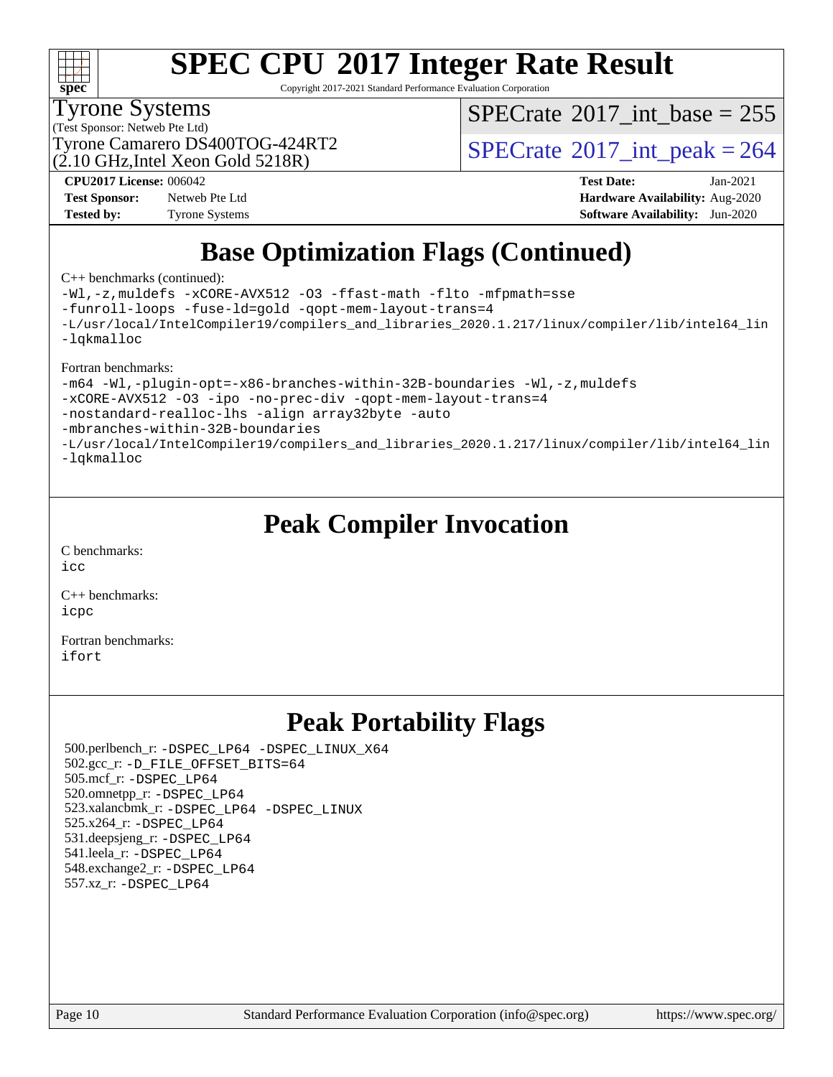

Copyright 2017-2021 Standard Performance Evaluation Corporation

### Tyrone Systems

(Test Sponsor: Netweb Pte Ltd)

(2.10 GHz,Intel Xeon Gold 5218R)

 $SPECTate$ <sup>®</sup>[2017\\_int\\_base =](http://www.spec.org/auto/cpu2017/Docs/result-fields.html#SPECrate2017intbase) 255

Tyrone Camarero DS400TOG-424RT2  $\vert$  [SPECrate](http://www.spec.org/auto/cpu2017/Docs/result-fields.html#SPECrate2017intpeak)  $^{\circ}2017$  int peak = 264

**[Test Sponsor:](http://www.spec.org/auto/cpu2017/Docs/result-fields.html#TestSponsor)** Netweb Pte Ltd **[Hardware Availability:](http://www.spec.org/auto/cpu2017/Docs/result-fields.html#HardwareAvailability)** Aug-2020 **[Tested by:](http://www.spec.org/auto/cpu2017/Docs/result-fields.html#Testedby)** Tyrone Systems **[Software Availability:](http://www.spec.org/auto/cpu2017/Docs/result-fields.html#SoftwareAvailability)** Jun-2020

**[CPU2017 License:](http://www.spec.org/auto/cpu2017/Docs/result-fields.html#CPU2017License)** 006042 **[Test Date:](http://www.spec.org/auto/cpu2017/Docs/result-fields.html#TestDate)** Jan-2021

### **[Base Optimization Flags \(Continued\)](http://www.spec.org/auto/cpu2017/Docs/result-fields.html#BaseOptimizationFlags)**

[C++ benchmarks](http://www.spec.org/auto/cpu2017/Docs/result-fields.html#CXXbenchmarks) (continued):

[-Wl,-z,muldefs](http://www.spec.org/cpu2017/results/res2021q1/cpu2017-20210222-24973.flags.html#user_CXXbase_link_force_multiple1_b4cbdb97b34bdee9ceefcfe54f4c8ea74255f0b02a4b23e853cdb0e18eb4525ac79b5a88067c842dd0ee6996c24547a27a4b99331201badda8798ef8a743f577) [-xCORE-AVX512](http://www.spec.org/cpu2017/results/res2021q1/cpu2017-20210222-24973.flags.html#user_CXXbase_f-xCORE-AVX512) [-O3](http://www.spec.org/cpu2017/results/res2021q1/cpu2017-20210222-24973.flags.html#user_CXXbase_f-O3) [-ffast-math](http://www.spec.org/cpu2017/results/res2021q1/cpu2017-20210222-24973.flags.html#user_CXXbase_f-ffast-math) [-flto](http://www.spec.org/cpu2017/results/res2021q1/cpu2017-20210222-24973.flags.html#user_CXXbase_f-flto) [-mfpmath=sse](http://www.spec.org/cpu2017/results/res2021q1/cpu2017-20210222-24973.flags.html#user_CXXbase_f-mfpmath_70eb8fac26bde974f8ab713bc9086c5621c0b8d2f6c86f38af0bd7062540daf19db5f3a066d8c6684be05d84c9b6322eb3b5be6619d967835195b93d6c02afa1)

[-funroll-loops](http://www.spec.org/cpu2017/results/res2021q1/cpu2017-20210222-24973.flags.html#user_CXXbase_f-funroll-loops) [-fuse-ld=gold](http://www.spec.org/cpu2017/results/res2021q1/cpu2017-20210222-24973.flags.html#user_CXXbase_f-fuse-ld_920b3586e2b8c6e0748b9c84fa9b744736ba725a32cab14ad8f3d4ad28eecb2f59d1144823d2e17006539a88734fe1fc08fc3035f7676166309105a78aaabc32) [-qopt-mem-layout-trans=4](http://www.spec.org/cpu2017/results/res2021q1/cpu2017-20210222-24973.flags.html#user_CXXbase_f-qopt-mem-layout-trans_fa39e755916c150a61361b7846f310bcdf6f04e385ef281cadf3647acec3f0ae266d1a1d22d972a7087a248fd4e6ca390a3634700869573d231a252c784941a8)

[-L/usr/local/IntelCompiler19/compilers\\_and\\_libraries\\_2020.1.217/linux/compiler/lib/intel64\\_lin](http://www.spec.org/cpu2017/results/res2021q1/cpu2017-20210222-24973.flags.html#user_CXXbase_linkpath_2cb6f503891ebf8baee7515f4e7d4ec1217444d1d05903cc0091ac4158de400651d2b2313a9fa414cb8a8f0e16ab029634f5c6db340f400369c190d4db8a54a0) [-lqkmalloc](http://www.spec.org/cpu2017/results/res2021q1/cpu2017-20210222-24973.flags.html#user_CXXbase_qkmalloc_link_lib_79a818439969f771c6bc311cfd333c00fc099dad35c030f5aab9dda831713d2015205805422f83de8875488a2991c0a156aaa600e1f9138f8fc37004abc96dc5)

[Fortran benchmarks:](http://www.spec.org/auto/cpu2017/Docs/result-fields.html#Fortranbenchmarks)

[-m64](http://www.spec.org/cpu2017/results/res2021q1/cpu2017-20210222-24973.flags.html#user_FCbase_m64-icc) [-Wl,-plugin-opt=-x86-branches-within-32B-boundaries](http://www.spec.org/cpu2017/results/res2021q1/cpu2017-20210222-24973.flags.html#user_FCbase_f-x86-branches-within-32B-boundaries_0098b4e4317ae60947b7b728078a624952a08ac37a3c797dfb4ffeb399e0c61a9dd0f2f44ce917e9361fb9076ccb15e7824594512dd315205382d84209e912f3) [-Wl,-z,muldefs](http://www.spec.org/cpu2017/results/res2021q1/cpu2017-20210222-24973.flags.html#user_FCbase_link_force_multiple1_b4cbdb97b34bdee9ceefcfe54f4c8ea74255f0b02a4b23e853cdb0e18eb4525ac79b5a88067c842dd0ee6996c24547a27a4b99331201badda8798ef8a743f577) [-xCORE-AVX512](http://www.spec.org/cpu2017/results/res2021q1/cpu2017-20210222-24973.flags.html#user_FCbase_f-xCORE-AVX512) [-O3](http://www.spec.org/cpu2017/results/res2021q1/cpu2017-20210222-24973.flags.html#user_FCbase_f-O3) [-ipo](http://www.spec.org/cpu2017/results/res2021q1/cpu2017-20210222-24973.flags.html#user_FCbase_f-ipo) [-no-prec-div](http://www.spec.org/cpu2017/results/res2021q1/cpu2017-20210222-24973.flags.html#user_FCbase_f-no-prec-div) [-qopt-mem-layout-trans=4](http://www.spec.org/cpu2017/results/res2021q1/cpu2017-20210222-24973.flags.html#user_FCbase_f-qopt-mem-layout-trans_fa39e755916c150a61361b7846f310bcdf6f04e385ef281cadf3647acec3f0ae266d1a1d22d972a7087a248fd4e6ca390a3634700869573d231a252c784941a8) [-nostandard-realloc-lhs](http://www.spec.org/cpu2017/results/res2021q1/cpu2017-20210222-24973.flags.html#user_FCbase_f_2003_std_realloc_82b4557e90729c0f113870c07e44d33d6f5a304b4f63d4c15d2d0f1fab99f5daaed73bdb9275d9ae411527f28b936061aa8b9c8f2d63842963b95c9dd6426b8a) [-align array32byte](http://www.spec.org/cpu2017/results/res2021q1/cpu2017-20210222-24973.flags.html#user_FCbase_align_array32byte_b982fe038af199962ba9a80c053b8342c548c85b40b8e86eb3cc33dee0d7986a4af373ac2d51c3f7cf710a18d62fdce2948f201cd044323541f22fc0fffc51b6) [-auto](http://www.spec.org/cpu2017/results/res2021q1/cpu2017-20210222-24973.flags.html#user_FCbase_f-auto) [-mbranches-within-32B-boundaries](http://www.spec.org/cpu2017/results/res2021q1/cpu2017-20210222-24973.flags.html#user_FCbase_f-mbranches-within-32B-boundaries) [-L/usr/local/IntelCompiler19/compilers\\_and\\_libraries\\_2020.1.217/linux/compiler/lib/intel64\\_lin](http://www.spec.org/cpu2017/results/res2021q1/cpu2017-20210222-24973.flags.html#user_FCbase_linkpath_2cb6f503891ebf8baee7515f4e7d4ec1217444d1d05903cc0091ac4158de400651d2b2313a9fa414cb8a8f0e16ab029634f5c6db340f400369c190d4db8a54a0)

[-lqkmalloc](http://www.spec.org/cpu2017/results/res2021q1/cpu2017-20210222-24973.flags.html#user_FCbase_qkmalloc_link_lib_79a818439969f771c6bc311cfd333c00fc099dad35c030f5aab9dda831713d2015205805422f83de8875488a2991c0a156aaa600e1f9138f8fc37004abc96dc5)

### **[Peak Compiler Invocation](http://www.spec.org/auto/cpu2017/Docs/result-fields.html#PeakCompilerInvocation)**

[C benchmarks](http://www.spec.org/auto/cpu2017/Docs/result-fields.html#Cbenchmarks): [icc](http://www.spec.org/cpu2017/results/res2021q1/cpu2017-20210222-24973.flags.html#user_CCpeak_intel_icc_66fc1ee009f7361af1fbd72ca7dcefbb700085f36577c54f309893dd4ec40d12360134090235512931783d35fd58c0460139e722d5067c5574d8eaf2b3e37e92)

[C++ benchmarks:](http://www.spec.org/auto/cpu2017/Docs/result-fields.html#CXXbenchmarks)

[icpc](http://www.spec.org/cpu2017/results/res2021q1/cpu2017-20210222-24973.flags.html#user_CXXpeak_intel_icpc_c510b6838c7f56d33e37e94d029a35b4a7bccf4766a728ee175e80a419847e808290a9b78be685c44ab727ea267ec2f070ec5dc83b407c0218cded6866a35d07)

[Fortran benchmarks](http://www.spec.org/auto/cpu2017/Docs/result-fields.html#Fortranbenchmarks): [ifort](http://www.spec.org/cpu2017/results/res2021q1/cpu2017-20210222-24973.flags.html#user_FCpeak_intel_ifort_8111460550e3ca792625aed983ce982f94888b8b503583aa7ba2b8303487b4d8a21a13e7191a45c5fd58ff318f48f9492884d4413fa793fd88dd292cad7027ca)

### **[Peak Portability Flags](http://www.spec.org/auto/cpu2017/Docs/result-fields.html#PeakPortabilityFlags)**

 500.perlbench\_r: [-DSPEC\\_LP64](http://www.spec.org/cpu2017/results/res2021q1/cpu2017-20210222-24973.flags.html#b500.perlbench_r_peakPORTABILITY_DSPEC_LP64) [-DSPEC\\_LINUX\\_X64](http://www.spec.org/cpu2017/results/res2021q1/cpu2017-20210222-24973.flags.html#b500.perlbench_r_peakCPORTABILITY_DSPEC_LINUX_X64) 502.gcc\_r: [-D\\_FILE\\_OFFSET\\_BITS=64](http://www.spec.org/cpu2017/results/res2021q1/cpu2017-20210222-24973.flags.html#user_peakPORTABILITY502_gcc_r_file_offset_bits_64_5ae949a99b284ddf4e95728d47cb0843d81b2eb0e18bdfe74bbf0f61d0b064f4bda2f10ea5eb90e1dcab0e84dbc592acfc5018bc955c18609f94ddb8d550002c) 505.mcf\_r: [-DSPEC\\_LP64](http://www.spec.org/cpu2017/results/res2021q1/cpu2017-20210222-24973.flags.html#suite_peakPORTABILITY505_mcf_r_DSPEC_LP64) 520.omnetpp\_r: [-DSPEC\\_LP64](http://www.spec.org/cpu2017/results/res2021q1/cpu2017-20210222-24973.flags.html#suite_peakPORTABILITY520_omnetpp_r_DSPEC_LP64) 523.xalancbmk\_r: [-DSPEC\\_LP64](http://www.spec.org/cpu2017/results/res2021q1/cpu2017-20210222-24973.flags.html#suite_peakPORTABILITY523_xalancbmk_r_DSPEC_LP64) [-DSPEC\\_LINUX](http://www.spec.org/cpu2017/results/res2021q1/cpu2017-20210222-24973.flags.html#b523.xalancbmk_r_peakCXXPORTABILITY_DSPEC_LINUX) 525.x264\_r: [-DSPEC\\_LP64](http://www.spec.org/cpu2017/results/res2021q1/cpu2017-20210222-24973.flags.html#suite_peakPORTABILITY525_x264_r_DSPEC_LP64) 531.deepsjeng\_r: [-DSPEC\\_LP64](http://www.spec.org/cpu2017/results/res2021q1/cpu2017-20210222-24973.flags.html#suite_peakPORTABILITY531_deepsjeng_r_DSPEC_LP64) 541.leela\_r: [-DSPEC\\_LP64](http://www.spec.org/cpu2017/results/res2021q1/cpu2017-20210222-24973.flags.html#suite_peakPORTABILITY541_leela_r_DSPEC_LP64) 548.exchange2\_r: [-DSPEC\\_LP64](http://www.spec.org/cpu2017/results/res2021q1/cpu2017-20210222-24973.flags.html#suite_peakPORTABILITY548_exchange2_r_DSPEC_LP64) 557.xz\_r: [-DSPEC\\_LP64](http://www.spec.org/cpu2017/results/res2021q1/cpu2017-20210222-24973.flags.html#suite_peakPORTABILITY557_xz_r_DSPEC_LP64)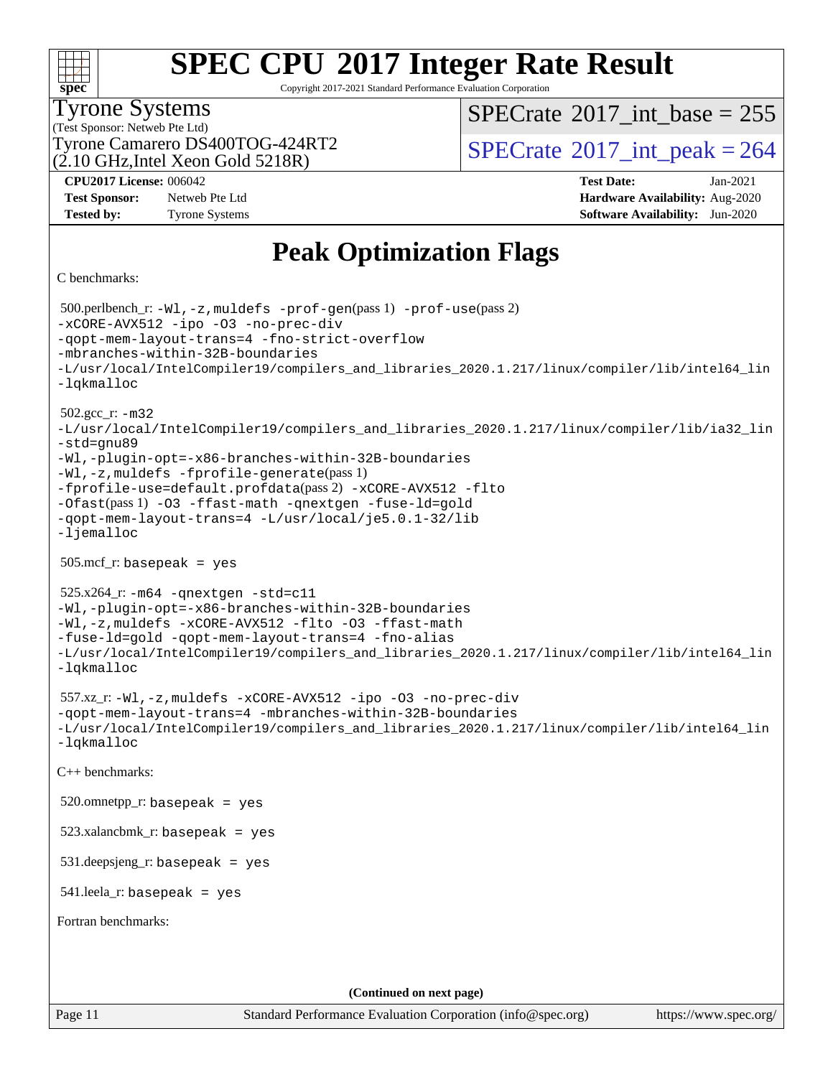| S<br>ne<br>Ľ |  |  |  |  |
|--------------|--|--|--|--|

Copyright 2017-2021 Standard Performance Evaluation Corporation

### Tyrone Systems

(Test Sponsor: Netweb Pte Ltd)  $(2.10 \text{ GHz}$ , Intel Xeon Gold 5218R)  $SPECTate$ <sup>®</sup>[2017\\_int\\_base =](http://www.spec.org/auto/cpu2017/Docs/result-fields.html#SPECrate2017intbase) 255

Tyrone Camarero DS400TOG-424RT2  $\vert$  [SPECrate](http://www.spec.org/auto/cpu2017/Docs/result-fields.html#SPECrate2017intpeak)  $^{\circ}2017$  int peak = 264

**[Test Sponsor:](http://www.spec.org/auto/cpu2017/Docs/result-fields.html#TestSponsor)** Netweb Pte Ltd **[Hardware Availability:](http://www.spec.org/auto/cpu2017/Docs/result-fields.html#HardwareAvailability)** Aug-2020 **[Tested by:](http://www.spec.org/auto/cpu2017/Docs/result-fields.html#Testedby)** Tyrone Systems **[Software Availability:](http://www.spec.org/auto/cpu2017/Docs/result-fields.html#SoftwareAvailability)** Jun-2020

**[CPU2017 License:](http://www.spec.org/auto/cpu2017/Docs/result-fields.html#CPU2017License)** 006042 **[Test Date:](http://www.spec.org/auto/cpu2017/Docs/result-fields.html#TestDate)** Jan-2021

### **[Peak Optimization Flags](http://www.spec.org/auto/cpu2017/Docs/result-fields.html#PeakOptimizationFlags)**

[C benchmarks](http://www.spec.org/auto/cpu2017/Docs/result-fields.html#Cbenchmarks):

Page 11 Standard Performance Evaluation Corporation [\(info@spec.org\)](mailto:info@spec.org) <https://www.spec.org/> 500.perlbench\_r: [-Wl,-z,muldefs](http://www.spec.org/cpu2017/results/res2021q1/cpu2017-20210222-24973.flags.html#user_peakEXTRA_LDFLAGS500_perlbench_r_link_force_multiple1_b4cbdb97b34bdee9ceefcfe54f4c8ea74255f0b02a4b23e853cdb0e18eb4525ac79b5a88067c842dd0ee6996c24547a27a4b99331201badda8798ef8a743f577) [-prof-gen](http://www.spec.org/cpu2017/results/res2021q1/cpu2017-20210222-24973.flags.html#user_peakPASS1_CFLAGSPASS1_LDFLAGS500_perlbench_r_prof_gen_5aa4926d6013ddb2a31985c654b3eb18169fc0c6952a63635c234f711e6e63dd76e94ad52365559451ec499a2cdb89e4dc58ba4c67ef54ca681ffbe1461d6b36)(pass 1) [-prof-use](http://www.spec.org/cpu2017/results/res2021q1/cpu2017-20210222-24973.flags.html#user_peakPASS2_CFLAGSPASS2_LDFLAGS500_perlbench_r_prof_use_1a21ceae95f36a2b53c25747139a6c16ca95bd9def2a207b4f0849963b97e94f5260e30a0c64f4bb623698870e679ca08317ef8150905d41bd88c6f78df73f19)(pass 2) [-xCORE-AVX512](http://www.spec.org/cpu2017/results/res2021q1/cpu2017-20210222-24973.flags.html#user_peakCOPTIMIZE500_perlbench_r_f-xCORE-AVX512) [-ipo](http://www.spec.org/cpu2017/results/res2021q1/cpu2017-20210222-24973.flags.html#user_peakCOPTIMIZE500_perlbench_r_f-ipo) [-O3](http://www.spec.org/cpu2017/results/res2021q1/cpu2017-20210222-24973.flags.html#user_peakCOPTIMIZE500_perlbench_r_f-O3) [-no-prec-div](http://www.spec.org/cpu2017/results/res2021q1/cpu2017-20210222-24973.flags.html#user_peakCOPTIMIZE500_perlbench_r_f-no-prec-div) [-qopt-mem-layout-trans=4](http://www.spec.org/cpu2017/results/res2021q1/cpu2017-20210222-24973.flags.html#user_peakCOPTIMIZE500_perlbench_r_f-qopt-mem-layout-trans_fa39e755916c150a61361b7846f310bcdf6f04e385ef281cadf3647acec3f0ae266d1a1d22d972a7087a248fd4e6ca390a3634700869573d231a252c784941a8) [-fno-strict-overflow](http://www.spec.org/cpu2017/results/res2021q1/cpu2017-20210222-24973.flags.html#user_peakEXTRA_OPTIMIZE500_perlbench_r_f-fno-strict-overflow) [-mbranches-within-32B-boundaries](http://www.spec.org/cpu2017/results/res2021q1/cpu2017-20210222-24973.flags.html#user_peakEXTRA_COPTIMIZE500_perlbench_r_f-mbranches-within-32B-boundaries) [-L/usr/local/IntelCompiler19/compilers\\_and\\_libraries\\_2020.1.217/linux/compiler/lib/intel64\\_lin](http://www.spec.org/cpu2017/results/res2021q1/cpu2017-20210222-24973.flags.html#user_peakEXTRA_LIBS500_perlbench_r_linkpath_2cb6f503891ebf8baee7515f4e7d4ec1217444d1d05903cc0091ac4158de400651d2b2313a9fa414cb8a8f0e16ab029634f5c6db340f400369c190d4db8a54a0) [-lqkmalloc](http://www.spec.org/cpu2017/results/res2021q1/cpu2017-20210222-24973.flags.html#user_peakEXTRA_LIBS500_perlbench_r_qkmalloc_link_lib_79a818439969f771c6bc311cfd333c00fc099dad35c030f5aab9dda831713d2015205805422f83de8875488a2991c0a156aaa600e1f9138f8fc37004abc96dc5) 502.gcc\_r: [-m32](http://www.spec.org/cpu2017/results/res2021q1/cpu2017-20210222-24973.flags.html#user_peakCCLD502_gcc_r_m32-icc) [-L/usr/local/IntelCompiler19/compilers\\_and\\_libraries\\_2020.1.217/linux/compiler/lib/ia32\\_lin](http://www.spec.org/cpu2017/results/res2021q1/cpu2017-20210222-24973.flags.html#user_peakCCLD502_gcc_r_linkpath_1b648dc083a6610e413f4e3f7afc604a24d17378f17ccd408506518e6231e99b67b6c9581aaca83ea9e1c966468a85aa236df4f978ab24cc5d9fdddb5cd5dbbb) [-std=gnu89](http://www.spec.org/cpu2017/results/res2021q1/cpu2017-20210222-24973.flags.html#user_peakCCLD502_gcc_r_f-std_f3cc2e520142451d42b8d64ee452c6877603de867a66777769b4e3f9b376c2a8742d66df6a4ffb5b483abd54df63aab35a2f4fe1181eb389a18cdcc50fd950e3) [-Wl,-plugin-opt=-x86-branches-within-32B-boundaries](http://www.spec.org/cpu2017/results/res2021q1/cpu2017-20210222-24973.flags.html#user_peakLDFLAGS502_gcc_r_f-x86-branches-within-32B-boundaries_0098b4e4317ae60947b7b728078a624952a08ac37a3c797dfb4ffeb399e0c61a9dd0f2f44ce917e9361fb9076ccb15e7824594512dd315205382d84209e912f3) [-Wl,-z,muldefs](http://www.spec.org/cpu2017/results/res2021q1/cpu2017-20210222-24973.flags.html#user_peakEXTRA_LDFLAGS502_gcc_r_link_force_multiple1_b4cbdb97b34bdee9ceefcfe54f4c8ea74255f0b02a4b23e853cdb0e18eb4525ac79b5a88067c842dd0ee6996c24547a27a4b99331201badda8798ef8a743f577) [-fprofile-generate](http://www.spec.org/cpu2017/results/res2021q1/cpu2017-20210222-24973.flags.html#user_peakPASS1_CFLAGSPASS1_LDFLAGS502_gcc_r_fprofile-generate)(pass 1) [-fprofile-use=default.profdata](http://www.spec.org/cpu2017/results/res2021q1/cpu2017-20210222-24973.flags.html#user_peakPASS2_CFLAGSPASS2_LDFLAGS502_gcc_r_fprofile-use_56aeee182b92ec249f9670f17c9b8e7d83fe2d25538e35a2cf64c434b579a2235a8b8fc66ef5678d24461366bbab9d486c870d8a72905233fc08e43eefe3cd80)(pass 2) [-xCORE-AVX512](http://www.spec.org/cpu2017/results/res2021q1/cpu2017-20210222-24973.flags.html#user_peakCOPTIMIZEPASS1_CFLAGSPASS1_LDFLAGS502_gcc_r_f-xCORE-AVX512) [-flto](http://www.spec.org/cpu2017/results/res2021q1/cpu2017-20210222-24973.flags.html#user_peakCOPTIMIZEPASS1_CFLAGSPASS1_LDFLAGS502_gcc_r_f-flto) [-Ofast](http://www.spec.org/cpu2017/results/res2021q1/cpu2017-20210222-24973.flags.html#user_peakPASS1_CFLAGSPASS1_LDFLAGS502_gcc_r_f-Ofast)(pass 1) [-O3](http://www.spec.org/cpu2017/results/res2021q1/cpu2017-20210222-24973.flags.html#user_peakCOPTIMIZE502_gcc_r_f-O3) [-ffast-math](http://www.spec.org/cpu2017/results/res2021q1/cpu2017-20210222-24973.flags.html#user_peakCOPTIMIZE502_gcc_r_f-ffast-math) [-qnextgen](http://www.spec.org/cpu2017/results/res2021q1/cpu2017-20210222-24973.flags.html#user_peakCOPTIMIZE502_gcc_r_f-qnextgen) [-fuse-ld=gold](http://www.spec.org/cpu2017/results/res2021q1/cpu2017-20210222-24973.flags.html#user_peakCOPTIMIZE502_gcc_r_f-fuse-ld_920b3586e2b8c6e0748b9c84fa9b744736ba725a32cab14ad8f3d4ad28eecb2f59d1144823d2e17006539a88734fe1fc08fc3035f7676166309105a78aaabc32) [-qopt-mem-layout-trans=4](http://www.spec.org/cpu2017/results/res2021q1/cpu2017-20210222-24973.flags.html#user_peakCOPTIMIZE502_gcc_r_f-qopt-mem-layout-trans_fa39e755916c150a61361b7846f310bcdf6f04e385ef281cadf3647acec3f0ae266d1a1d22d972a7087a248fd4e6ca390a3634700869573d231a252c784941a8) [-L/usr/local/je5.0.1-32/lib](http://www.spec.org/cpu2017/results/res2021q1/cpu2017-20210222-24973.flags.html#user_peakEXTRA_LIBS502_gcc_r_jemalloc_link_path32_e29f22e8e6c17053bbc6a0971f5a9c01a601a06bb1a59df2084b77a2fe0a2995b64fd4256feaeea39eeba3aae142e96e2b2b0a28974019c0c0c88139a84f900a) [-ljemalloc](http://www.spec.org/cpu2017/results/res2021q1/cpu2017-20210222-24973.flags.html#user_peakEXTRA_LIBS502_gcc_r_jemalloc_link_lib_d1249b907c500fa1c0672f44f562e3d0f79738ae9e3c4a9c376d49f265a04b9c99b167ecedbf6711b3085be911c67ff61f150a17b3472be731631ba4d0471706) 505.mcf\_r: basepeak = yes 525.x264\_r: [-m64](http://www.spec.org/cpu2017/results/res2021q1/cpu2017-20210222-24973.flags.html#user_peakCCLD525_x264_r_m64-icc) [-qnextgen](http://www.spec.org/cpu2017/results/res2021q1/cpu2017-20210222-24973.flags.html#user_peakCCCOPTIMIZELD525_x264_r_f-qnextgen) [-std=c11](http://www.spec.org/cpu2017/results/res2021q1/cpu2017-20210222-24973.flags.html#user_peakCCLD525_x264_r_std-icc-std_0e1c27790398a4642dfca32ffe6c27b5796f9c2d2676156f2e42c9c44eaad0c049b1cdb667a270c34d979996257aeb8fc440bfb01818dbc9357bd9d174cb8524) [-Wl,-plugin-opt=-x86-branches-within-32B-boundaries](http://www.spec.org/cpu2017/results/res2021q1/cpu2017-20210222-24973.flags.html#user_peakLDFLAGS525_x264_r_f-x86-branches-within-32B-boundaries_0098b4e4317ae60947b7b728078a624952a08ac37a3c797dfb4ffeb399e0c61a9dd0f2f44ce917e9361fb9076ccb15e7824594512dd315205382d84209e912f3) [-Wl,-z,muldefs](http://www.spec.org/cpu2017/results/res2021q1/cpu2017-20210222-24973.flags.html#user_peakEXTRA_LDFLAGS525_x264_r_link_force_multiple1_b4cbdb97b34bdee9ceefcfe54f4c8ea74255f0b02a4b23e853cdb0e18eb4525ac79b5a88067c842dd0ee6996c24547a27a4b99331201badda8798ef8a743f577) [-xCORE-AVX512](http://www.spec.org/cpu2017/results/res2021q1/cpu2017-20210222-24973.flags.html#user_peakCOPTIMIZE525_x264_r_f-xCORE-AVX512) [-flto](http://www.spec.org/cpu2017/results/res2021q1/cpu2017-20210222-24973.flags.html#user_peakCOPTIMIZE525_x264_r_f-flto) [-O3](http://www.spec.org/cpu2017/results/res2021q1/cpu2017-20210222-24973.flags.html#user_peakCOPTIMIZE525_x264_r_f-O3) [-ffast-math](http://www.spec.org/cpu2017/results/res2021q1/cpu2017-20210222-24973.flags.html#user_peakCOPTIMIZE525_x264_r_f-ffast-math) [-fuse-ld=gold](http://www.spec.org/cpu2017/results/res2021q1/cpu2017-20210222-24973.flags.html#user_peakCOPTIMIZE525_x264_r_f-fuse-ld_920b3586e2b8c6e0748b9c84fa9b744736ba725a32cab14ad8f3d4ad28eecb2f59d1144823d2e17006539a88734fe1fc08fc3035f7676166309105a78aaabc32) [-qopt-mem-layout-trans=4](http://www.spec.org/cpu2017/results/res2021q1/cpu2017-20210222-24973.flags.html#user_peakCOPTIMIZE525_x264_r_f-qopt-mem-layout-trans_fa39e755916c150a61361b7846f310bcdf6f04e385ef281cadf3647acec3f0ae266d1a1d22d972a7087a248fd4e6ca390a3634700869573d231a252c784941a8) [-fno-alias](http://www.spec.org/cpu2017/results/res2021q1/cpu2017-20210222-24973.flags.html#user_peakEXTRA_OPTIMIZE525_x264_r_f-no-alias_77dbac10d91cbfe898fbf4a29d1b29b694089caa623bdd1baccc9957d4edbe8d106c0b357e2748a65b44fc9e83d78098bb898077f3fe92f9faf24f7bd4a07ed7) [-L/usr/local/IntelCompiler19/compilers\\_and\\_libraries\\_2020.1.217/linux/compiler/lib/intel64\\_lin](http://www.spec.org/cpu2017/results/res2021q1/cpu2017-20210222-24973.flags.html#user_peakEXTRA_LIBS525_x264_r_linkpath_2cb6f503891ebf8baee7515f4e7d4ec1217444d1d05903cc0091ac4158de400651d2b2313a9fa414cb8a8f0e16ab029634f5c6db340f400369c190d4db8a54a0) [-lqkmalloc](http://www.spec.org/cpu2017/results/res2021q1/cpu2017-20210222-24973.flags.html#user_peakEXTRA_LIBS525_x264_r_qkmalloc_link_lib_79a818439969f771c6bc311cfd333c00fc099dad35c030f5aab9dda831713d2015205805422f83de8875488a2991c0a156aaa600e1f9138f8fc37004abc96dc5) 557.xz\_r: [-Wl,-z,muldefs](http://www.spec.org/cpu2017/results/res2021q1/cpu2017-20210222-24973.flags.html#user_peakEXTRA_LDFLAGS557_xz_r_link_force_multiple1_b4cbdb97b34bdee9ceefcfe54f4c8ea74255f0b02a4b23e853cdb0e18eb4525ac79b5a88067c842dd0ee6996c24547a27a4b99331201badda8798ef8a743f577) [-xCORE-AVX512](http://www.spec.org/cpu2017/results/res2021q1/cpu2017-20210222-24973.flags.html#user_peakCOPTIMIZE557_xz_r_f-xCORE-AVX512) [-ipo](http://www.spec.org/cpu2017/results/res2021q1/cpu2017-20210222-24973.flags.html#user_peakCOPTIMIZE557_xz_r_f-ipo) [-O3](http://www.spec.org/cpu2017/results/res2021q1/cpu2017-20210222-24973.flags.html#user_peakCOPTIMIZE557_xz_r_f-O3) [-no-prec-div](http://www.spec.org/cpu2017/results/res2021q1/cpu2017-20210222-24973.flags.html#user_peakCOPTIMIZE557_xz_r_f-no-prec-div) [-qopt-mem-layout-trans=4](http://www.spec.org/cpu2017/results/res2021q1/cpu2017-20210222-24973.flags.html#user_peakCOPTIMIZE557_xz_r_f-qopt-mem-layout-trans_fa39e755916c150a61361b7846f310bcdf6f04e385ef281cadf3647acec3f0ae266d1a1d22d972a7087a248fd4e6ca390a3634700869573d231a252c784941a8) [-mbranches-within-32B-boundaries](http://www.spec.org/cpu2017/results/res2021q1/cpu2017-20210222-24973.flags.html#user_peakEXTRA_COPTIMIZE557_xz_r_f-mbranches-within-32B-boundaries) [-L/usr/local/IntelCompiler19/compilers\\_and\\_libraries\\_2020.1.217/linux/compiler/lib/intel64\\_lin](http://www.spec.org/cpu2017/results/res2021q1/cpu2017-20210222-24973.flags.html#user_peakEXTRA_LIBS557_xz_r_linkpath_2cb6f503891ebf8baee7515f4e7d4ec1217444d1d05903cc0091ac4158de400651d2b2313a9fa414cb8a8f0e16ab029634f5c6db340f400369c190d4db8a54a0) [-lqkmalloc](http://www.spec.org/cpu2017/results/res2021q1/cpu2017-20210222-24973.flags.html#user_peakEXTRA_LIBS557_xz_r_qkmalloc_link_lib_79a818439969f771c6bc311cfd333c00fc099dad35c030f5aab9dda831713d2015205805422f83de8875488a2991c0a156aaa600e1f9138f8fc37004abc96dc5) [C++ benchmarks](http://www.spec.org/auto/cpu2017/Docs/result-fields.html#CXXbenchmarks):  $520.$ omnetpp\_r: basepeak = yes  $523.xalanchmk$  r: basepeak = yes 531.deepsjeng\_r: basepeak = yes  $541$ .leela\_r: basepeak = yes [Fortran benchmarks:](http://www.spec.org/auto/cpu2017/Docs/result-fields.html#Fortranbenchmarks) **(Continued on next page)**